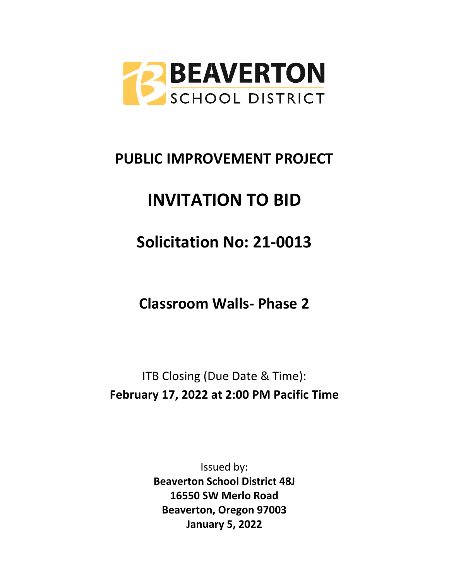

# **PUBLIC IMPROVEMENT PROJECT**

# **INVITATION TO BID**

# **Solicitation No: 21-0013**

**Classroom Walls- Phase 2**

ITB Closing (Due Date & Time): **February 17, 2022 at 2:00 PM Pacific Time**

> Issued by: **Beaverton School District 48J 16550 SW Merlo Road Beaverton, Oregon 97003 January 5, 2022**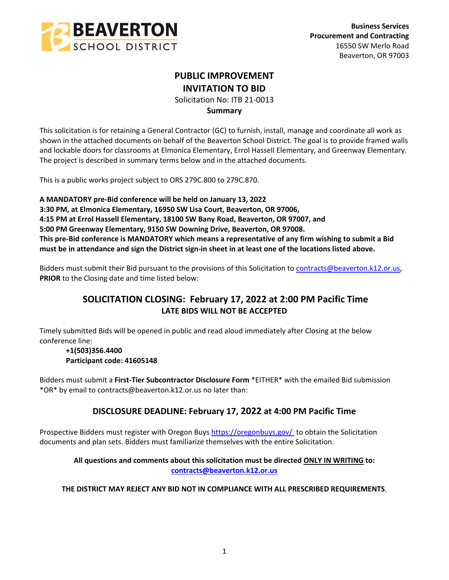

# **PUBLIC IMPROVEMENT INVITATION TO BID**

Solicitation No: ITB 21-0013

# **Summary**

This solicitation is for retaining a General Contractor (GC) to furnish, install, manage and coordinate all work as shown in the attached documents on behalf of the Beaverton School District. The goal is to provide framed walls and lockable doors for classrooms at Elmonica Elementary, Errol Hassell Elementary, and Greenway Elementary. The project is described in summary terms below and in the attached documents.

This is a public works project subject to ORS 279C.800 to 279C.870.

**A MANDATORY pre-Bid conference will be held on January 13, 2022 3:30 PM, at Elmonica Elementary, 16950 SW Lisa Court, Beaverton, OR 97006, 4:15 PM at Errol Hassell Elementary, 18100 SW Bany Road, Beaverton, OR 97007, and 5:00 PM Greenway Elementary, 9150 SW Downing Drive, Beaverton, OR 97008. This pre-Bid conference is MANDATORY which means a representative of any firm wishing to submit a Bid must be in attendance and sign the District sign-in sheet in at least one of the locations listed above.**

Bidders must submit their Bid pursuant to the provisions of this Solicitation to [contracts@beaverton.k12.or.us,](mailto:contracts@beaverton.k12.or.us) **PRIOR** to the Closing date and time listed below:

# **SOLICITATION CLOSING: February 17, 2022 at 2:00 PM Pacific Time LATE BIDS WILL NOT BE ACCEPTED**

Timely submitted Bids will be opened in public and read aloud immediately after Closing at the below conference line:

# **+1(503)356.4400 Participant code: 41605148**

Bidders must submit a **First-Tier Subcontractor Disclosure Form** \*EITHER\* with the emailed Bid submission \*OR\* by email to contracts@beaverton.k12.or.us no later than:

# **DISCLOSURE DEADLINE: February 17, 2022 at 4:00 PM Pacific Time**

Prospective Bidders must register with Oregon Buys<https://oregonbuys.gov/> to obtain the Solicitation documents and plan sets. Bidders must familiarize themselves with the entire Solicitation.

# **All questions and comments about this solicitation must be directed ONLY IN WRITING to: [contracts@beaverton.k12.or.us](mailto:contracts@beaverton.k12.or.us)**

# **THE DISTRICT MAY REJECT ANY BID NOT IN COMPLIANCE WITH ALL PRESCRIBED REQUIREMENTS**.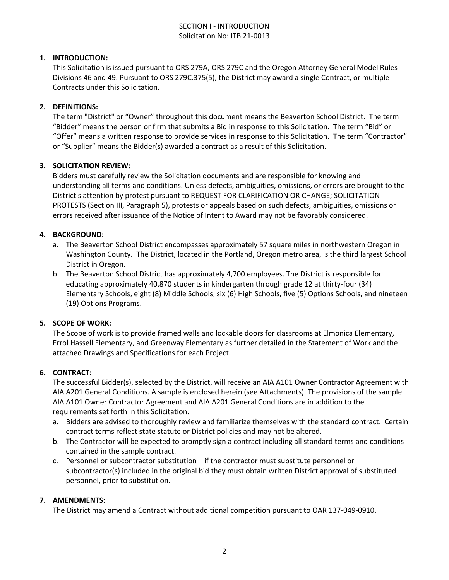# SECTION I - INTRODUCTION Solicitation No: ITB 21-0013

# **1. INTRODUCTION:**

This Solicitation is issued pursuant to ORS 279A, ORS 279C and the Oregon Attorney General Model Rules Divisions 46 and 49. Pursuant to ORS 279C.375(5), the District may award a single Contract, or multiple Contracts under this Solicitation.

#### **2. DEFINITIONS:**

The term "District" or "Owner" throughout this document means the Beaverton School District. The term "Bidder" means the person or firm that submits a Bid in response to this Solicitation. The term "Bid" or "Offer" means a written response to provide services in response to this Solicitation. The term "Contractor" or "Supplier" means the Bidder(s) awarded a contract as a result of this Solicitation.

#### **3. SOLICITATION REVIEW:**

Bidders must carefully review the Solicitation documents and are responsible for knowing and understanding all terms and conditions. Unless defects, ambiguities, omissions, or errors are brought to the District's attention by protest pursuant to REQUEST FOR CLARIFICATION OR CHANGE; SOLICITATION PROTESTS (Section III, Paragraph 5), protests or appeals based on such defects, ambiguities, omissions or errors received after issuance of the Notice of Intent to Award may not be favorably considered.

# **4. BACKGROUND:**

- a. The Beaverton School District encompasses approximately 57 square miles in northwestern Oregon in Washington County. The District, located in the Portland, Oregon metro area, is the third largest School District in Oregon.
- b. The Beaverton School District has approximately 4,700 employees. The District is responsible for educating approximately 40,870 students in kindergarten through grade 12 at thirty-four (34) Elementary Schools, eight (8) Middle Schools, six (6) High Schools, five (5) Options Schools, and nineteen (19) Options Programs.

#### **5. SCOPE OF WORK:**

The Scope of work is to provide framed walls and lockable doors for classrooms at Elmonica Elementary, Errol Hassell Elementary, and Greenway Elementary as further detailed in the Statement of Work and the attached Drawings and Specifications for each Project.

#### **6. CONTRACT:**

The successful Bidder(s), selected by the District, will receive an AIA A101 Owner Contractor Agreement with AIA A201 General Conditions. A sample is enclosed herein (see Attachments). The provisions of the sample AIA A101 Owner Contractor Agreement and AIA A201 General Conditions are in addition to the requirements set forth in this Solicitation.

- a. Bidders are advised to thoroughly review and familiarize themselves with the standard contract. Certain contract terms reflect state statute or District policies and may not be altered.
- b. The Contractor will be expected to promptly sign a contract including all standard terms and conditions contained in the sample contract.
- c. Personnel or subcontractor substitution if the contractor must substitute personnel or subcontractor(s) included in the original bid they must obtain written District approval of substituted personnel, prior to substitution.

#### **7. AMENDMENTS:**

The District may amend a Contract without additional competition pursuant to OAR 137-049-0910.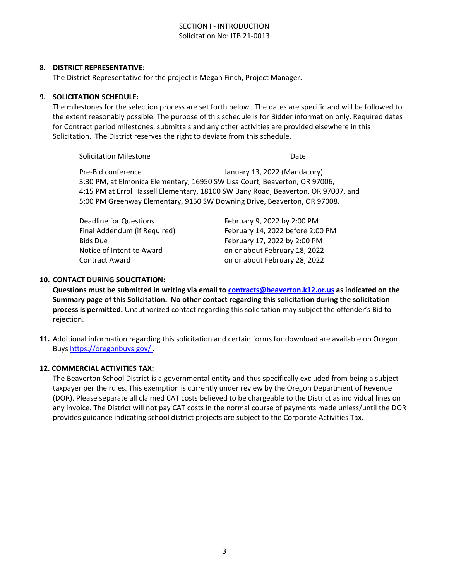# SECTION I - INTRODUCTION Solicitation No: ITB 21-0013

#### **8. DISTRICT REPRESENTATIVE:**

The District Representative for the project is Megan Finch, Project Manager.

#### **9. SOLICITATION SCHEDULE:**

The milestones for the selection process are set forth below. The dates are specific and will be followed to the extent reasonably possible. The purpose of this schedule is for Bidder information only. Required dates for Contract period milestones, submittals and any other activities are provided elsewhere in this Solicitation. The District reserves the right to deviate from this schedule.

Solicitation Milestone **Date** 

Pre-Bid conference The January 13, 2022 (Mandatory) 3:30 PM, at Elmonica Elementary, 16950 SW Lisa Court, Beaverton, OR 97006, 4:15 PM at Errol Hassell Elementary, 18100 SW Bany Road, Beaverton, OR 97007, and 5:00 PM Greenway Elementary, 9150 SW Downing Drive, Beaverton, OR 97008.

Deadline for Questions February 9, 2022 by 2:00 PM

Final Addendum (if Required) February 14, 2022 before 2:00 PM Bids Due **February 17, 2022 by 2:00 PM** Notice of Intent to Award **on or about February 18, 2022** Contract Award on or about February 28, 2022

#### **10. CONTACT DURING SOLICITATION:**

**Questions must be submitted in writing via email to [contracts@beaverton.k12.or.us](mailto:contracts@beaverton.k12.or.us) as indicated on the Summary page of this Solicitation. No other contact regarding this solicitation during the solicitation process is permitted.** Unauthorized contact regarding this solicitation may subject the offender's Bid to rejection.

**11.** Additional information regarding this solicitation and certain forms for download are available on Oregon Buys <https://oregonbuys.gov/>.

#### **12. COMMERCIAL ACTIVITIES TAX:**

The Beaverton School District is a governmental entity and thus specifically excluded from being a subject taxpayer per the rules. This exemption is currently under review by the Oregon Department of Revenue (DOR). Please separate all claimed CAT costs believed to be chargeable to the District as individual lines on any invoice. The District will not pay CAT costs in the normal course of payments made unless/until the DOR provides guidance indicating school district projects are subject to the Corporate Activities Tax.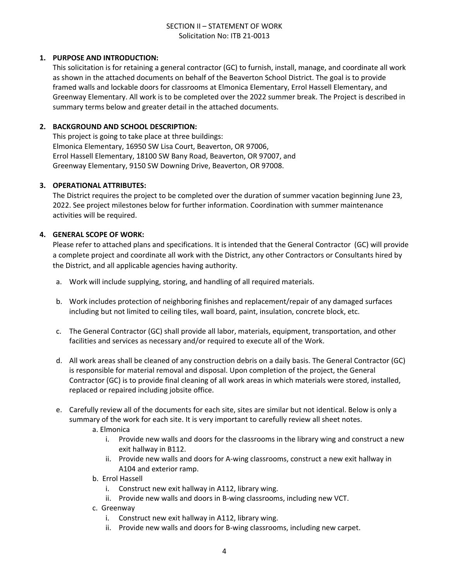# SECTION II – STATEMENT OF WORK Solicitation No: ITB 21-0013

# **1. PURPOSE AND INTRODUCTION:**

This solicitation is for retaining a general contractor (GC) to furnish, install, manage, and coordinate all work as shown in the attached documents on behalf of the Beaverton School District. The goal is to provide framed walls and lockable doors for classrooms at Elmonica Elementary, Errol Hassell Elementary, and Greenway Elementary. All work is to be completed over the 2022 summer break. The Project is described in summary terms below and greater detail in the attached documents.

# **2. BACKGROUND AND SCHOOL DESCRIPTION:**

This project is going to take place at three buildings: Elmonica Elementary, 16950 SW Lisa Court, Beaverton, OR 97006, Errol Hassell Elementary, 18100 SW Bany Road, Beaverton, OR 97007, and Greenway Elementary, 9150 SW Downing Drive, Beaverton, OR 97008.

#### **3. OPERATIONAL ATTRIBUTES:**

The District requires the project to be completed over the duration of summer vacation beginning June 23, 2022. See project milestones below for further information. Coordination with summer maintenance activities will be required.

# **4. GENERAL SCOPE OF WORK:**

Please refer to attached plans and specifications. It is intended that the General Contractor (GC) will provide a complete project and coordinate all work with the District, any other Contractors or Consultants hired by the District, and all applicable agencies having authority.

- a. Work will include supplying, storing, and handling of all required materials.
- b. Work includes protection of neighboring finishes and replacement/repair of any damaged surfaces including but not limited to ceiling tiles, wall board, paint, insulation, concrete block, etc.
- c. The General Contractor (GC) shall provide all labor, materials, equipment, transportation, and other facilities and services as necessary and/or required to execute all of the Work.
- d. All work areas shall be cleaned of any construction debris on a daily basis. The General Contractor (GC) is responsible for material removal and disposal. Upon completion of the project, the General Contractor (GC) is to provide final cleaning of all work areas in which materials were stored, installed, replaced or repaired including jobsite office.
- e. Carefully review all of the documents for each site, sites are similar but not identical. Below is only a summary of the work for each site. It is very important to carefully review all sheet notes.
	- a. Elmonica
		- i. Provide new walls and doors for the classrooms in the library wing and construct a new exit hallway in B112.
		- ii. Provide new walls and doors for A-wing classrooms, construct a new exit hallway in A104 and exterior ramp.
	- b. Errol Hassell
		- i. Construct new exit hallway in A112, library wing.
		- ii. Provide new walls and doors in B-wing classrooms, including new VCT.
	- c. Greenway
		- i. Construct new exit hallway in A112, library wing.
		- ii. Provide new walls and doors for B-wing classrooms, including new carpet.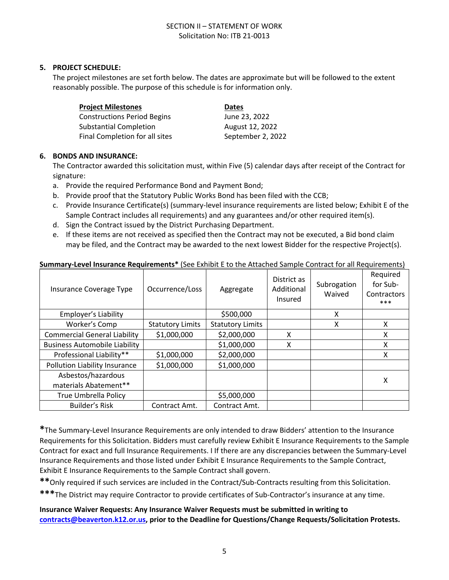# SECTION II – STATEMENT OF WORK Solicitation No: ITB 21-0013

# **5. PROJECT SCHEDULE:**

The project milestones are set forth below. The dates are approximate but will be followed to the extent reasonably possible. The purpose of this schedule is for information only.

| <b>Project Milestones</b>          | <b>Dates</b>      |
|------------------------------------|-------------------|
| <b>Constructions Period Begins</b> | June 23, 2022     |
| <b>Substantial Completion</b>      | August 12, 2022   |
| Final Completion for all sites     | September 2, 2022 |

#### **6. BONDS AND INSURANCE:**

Asbestos/hazardous

The Contractor awarded this solicitation must, within Five (5) calendar days after receipt of the Contract for signature:

- a. Provide the required Performance Bond and Payment Bond;
- b. Provide proof that the Statutory Public Works Bond has been filed with the CCB;
- c. Provide Insurance Certificate(s) (summary-level insurance requirements are listed below; Exhibit E of the Sample Contract includes all requirements) and any guarantees and/or other required item(s).
- d. Sign the Contract issued by the District Purchasing Department.

Pollution Liability Insurance  $\vert$  \$1,000,000  $\vert$  \$1,000,000

True Umbrella Policy | \$5,000,000 Builder's Risk | Contract Amt. | Contract Amt.

e. If these items are not received as specified then the Contract may not be executed, a Bid bond claim may be filed, and the Contract may be awarded to the next lowest Bidder for the respective Project(s).

#### Insurance Coverage Type  $\Box$  Occurrence/Loss  $\Box$  Aggregate District as Additional Insured Subrogation Waived Required for Sub-**Contractors** \*\*\* Employer's Liability  $\begin{array}{|c|c|c|c|c|c|}\n\hline\n\end{array}$   $\begin{array}{|c|c|c|c|c|}\n\hline\n\end{array}$   $\begin{array}{|c|c|c|c|}\n\hline\n\end{array}$   $\begin{array}{|c|c|c|c|}\n\hline\n\end{array}$   $\begin{array}{|c|c|c|c|}\n\hline\n\end{array}$ Worker's Comp  $\vert$  Statutory Limits  $\vert$  Statutory Limits  $\vert$  X  $\vert$  X X X

Commercial General Liability  $\begin{array}{|c|c|c|c|c|c|c|c|c|} \hline \text{S1,000,000} & \text{S2,000,000} & \text{X} & \text{X} \\\hline \end{array}$ Business Automobile Liability |  $\vert$  \$1,000,000 | X | X | X Professional Liability\*\* | \$1,000,000 | \$2,000,000 | \ X

materials Abatement\*\* X

# **Summary-Level Insurance Requirements\*** (See Exhibit E to the Attached Sample Contract for all Requirements)

| *The Summary-Level Insurance Requirements are only intended to draw Bidders' attention to the Insurance          |
|------------------------------------------------------------------------------------------------------------------|
| Requirements for this Solicitation. Bidders must carefully review Exhibit E Insurance Requirements to the Sample |
| Contract for exact and full Insurance Requirements. I If there are any discrepancies between the Summary-Level   |
| Insurance Requirements and those listed under Exhibit E Insurance Requirements to the Sample Contract,           |
| Exhibit E Insurance Requirements to the Sample Contract shall govern.                                            |

**\*\***Only required if such services are included in the Contract/Sub-Contracts resulting from this Solicitation.

**\*\*\***The District may require Contractor to provide certificates of Sub-Contractor's insurance at any time.

**Insurance Waiver Requests: Any Insurance Waiver Requests must be submitted in writing to [contracts@beaverton.k12.or.us,](mailto:contracts@beaverton.k12.or.us) prior to the Deadline for Questions/Change Requests/Solicitation Protests.**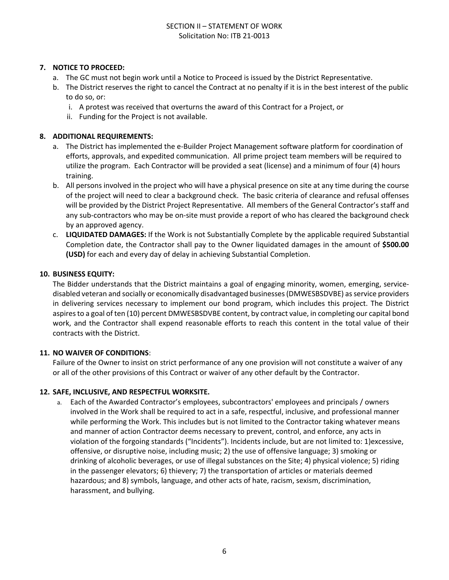# SECTION II – STATEMENT OF WORK Solicitation No: ITB 21-0013

# **7. NOTICE TO PROCEED:**

- a. The GC must not begin work until a Notice to Proceed is issued by the District Representative.
- b. The District reserves the right to cancel the Contract at no penalty if it is in the best interest of the public to do so, or:
	- i. A protest was received that overturns the award of this Contract for a Project, or
	- ii. Funding for the Project is not available.

# **8. ADDITIONAL REQUIREMENTS:**

- a. The District has implemented the e-Builder Project Management software platform for coordination of efforts, approvals, and expedited communication. All prime project team members will be required to utilize the program. Each Contractor will be provided a seat (license) and a minimum of four (4) hours training.
- b. All persons involved in the project who will have a physical presence on site at any time during the course of the project will need to clear a background check. The basic criteria of clearance and refusal offenses will be provided by the District Project Representative. All members of the General Contractor's staff and any sub-contractors who may be on-site must provide a report of who has cleared the background check by an approved agency.
- c. **LIQUIDATED DAMAGES:** If the Work is not Substantially Complete by the applicable required Substantial Completion date, the Contractor shall pay to the Owner liquidated damages in the amount of **\$500.00 (USD)** for each and every day of delay in achieving Substantial Completion.

#### **10. BUSINESS EQUITY:**

The Bidder understands that the District maintains a goal of engaging minority, women, emerging, servicedisabled veteran and socially or economically disadvantaged businesses (DMWESBSDVBE) as service providers in delivering services necessary to implement our bond program, which includes this project. The District aspires to a goal of ten (10) percent DMWESBSDVBE content, by contract value, in completing our capital bond work, and the Contractor shall expend reasonable efforts to reach this content in the total value of their contracts with the District.

#### **11. NO WAIVER OF CONDITIONS**:

Failure of the Owner to insist on strict performance of any one provision will not constitute a waiver of any or all of the other provisions of this Contract or waiver of any other default by the Contractor.

#### **12. SAFE, INCLUSIVE, AND RESPECTFUL WORKSITE.**

a. Each of the Awarded Contractor's employees, subcontractors' employees and principals / owners involved in the Work shall be required to act in a safe, respectful, inclusive, and professional manner while performing the Work. This includes but is not limited to the Contractor taking whatever means and manner of action Contractor deems necessary to prevent, control, and enforce, any acts in violation of the forgoing standards ("Incidents"). Incidents include, but are not limited to: 1)excessive, offensive, or disruptive noise, including music; 2) the use of offensive language; 3) smoking or drinking of alcoholic beverages, or use of illegal substances on the Site; 4) physical violence; 5) riding in the passenger elevators; 6) thievery; 7) the transportation of articles or materials deemed hazardous; and 8) symbols, language, and other acts of hate, racism, sexism, discrimination, harassment, and bullying.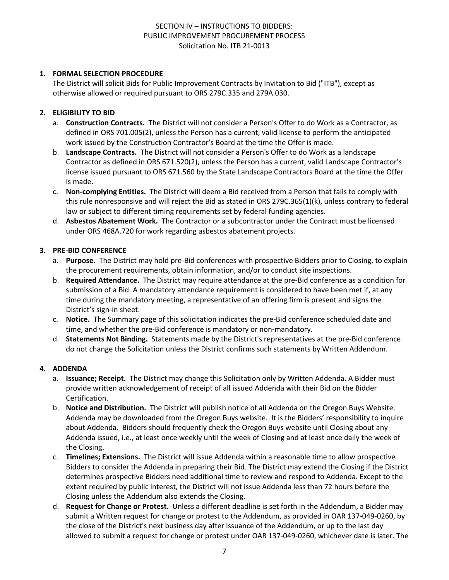# **1. FORMAL SELECTION PROCEDURE**

The District will solicit Bids for Public Improvement Contracts by Invitation to Bid ("ITB"), except as otherwise allowed or required pursuant to ORS 279C.335 and 279A.030.

# **2. ELIGIBILITY TO BID**

- a. **Construction Contracts.** The District will not consider a Person's Offer to do Work as a Contractor, as defined in ORS 701.005(2), unless the Person has a current, valid license to perform the anticipated work issued by the Construction Contractor's Board at the time the Offer is made.
- b. **Landscape Contracts.** The District will not consider a Person's Offer to do Work as a landscape Contractor as defined in ORS 671.520(2), unless the Person has a current, valid Landscape Contractor's license issued pursuant to ORS 671.560 by the State Landscape Contractors Board at the time the Offer is made.
- c. **Non-complying Entities.** The District will deem a Bid received from a Person that fails to comply with this rule nonresponsive and will reject the Bid as stated in ORS 279C.365(1)(k), unless contrary to federal law or subject to different timing requirements set by federal funding agencies.
- d. **Asbestos Abatement Work.** The Contractor or a subcontractor under the Contract must be licensed under ORS 468A.720 for work regarding asbestos abatement projects.

#### **3. PRE-BID CONFERENCE**

- a. **Purpose.** The District may hold pre-Bid conferences with prospective Bidders prior to Closing, to explain the procurement requirements, obtain information, and/or to conduct site inspections.
- b. **Required Attendance.** The District may require attendance at the pre-Bid conference as a condition for submission of a Bid. A mandatory attendance requirement is considered to have been met if, at any time during the mandatory meeting, a representative of an offering firm is present and signs the District's sign-in sheet.
- c. **Notice.** The Summary page of this solicitation indicates the pre-Bid conference scheduled date and time, and whether the pre-Bid conference is mandatory or non-mandatory.
- d. **Statements Not Binding.** Statements made by the District's representatives at the pre-Bid conference do not change the Solicitation unless the District confirms such statements by Written Addendum.

# **4. ADDENDA**

- a. **Issuance; Receipt.** The District may change this Solicitation only by Written Addenda. A Bidder must provide written acknowledgement of receipt of all issued Addenda with their Bid on the Bidder Certification.
- b. **Notice and Distribution.** The District will publish notice of all Addenda on the Oregon Buys Website. Addenda may be downloaded from the Oregon Buys website. It is the Bidders' responsibility to inquire about Addenda. Bidders should frequently check the Oregon Buys website until Closing about any Addenda issued, i.e., at least once weekly until the week of Closing and at least once daily the week of the Closing.
- c. **Timelines; Extensions.** The District will issue Addenda within a reasonable time to allow prospective Bidders to consider the Addenda in preparing their Bid. The District may extend the Closing if the District determines prospective Bidders need additional time to review and respond to Addenda. Except to the extent required by public interest, the District will not issue Addenda less than 72 hours before the Closing unless the Addendum also extends the Closing.
- d. **Request for Change or Protest.** Unless a different deadline is set forth in the Addendum, a Bidder may submit a Written request for change or protest to the Addendum, as provided in OAR 137-049-0260, by the close of the District's next business day after issuance of the Addendum, or up to the last day allowed to submit a request for change or protest under OAR 137-049-0260, whichever date is later. The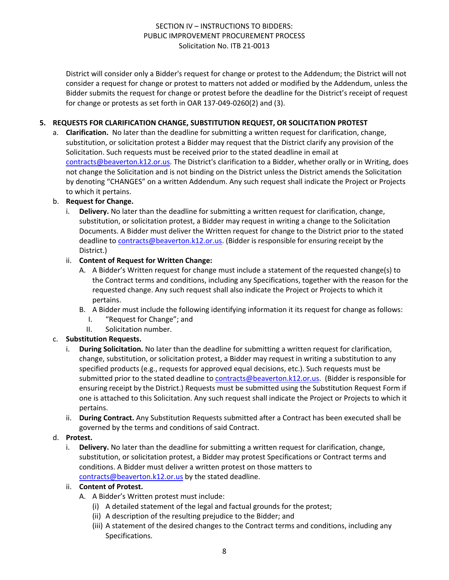District will consider only a Bidder's request for change or protest to the Addendum; the District will not consider a request for change or protest to matters not added or modified by the Addendum, unless the Bidder submits the request for change or protest before the deadline for the District's receipt of request for change or protests as set forth in OAR 137-049-0260(2) and (3).

# **5. REQUESTS FOR CLARIFICATION CHANGE, SUBSTITUTION REQUEST, OR SOLICITATION PROTEST**

a. **Clarification.** No later than the deadline for submitting a written request for clarification, change, substitution, or solicitation protest a Bidder may request that the District clarify any provision of the Solicitation. Such requests must be received prior to the stated deadline in email at [contracts@beaverton.k12.or.us.](mailto:contracts@beaverton.k12.or.us) The District's clarification to a Bidder, whether orally or in Writing, does not change the Solicitation and is not binding on the District unless the District amends the Solicitation by denoting "CHANGES" on a written Addendum. Any such request shall indicate the Project or Projects to which it pertains.

# b. **Request for Change.**

i. **Delivery.** No later than the deadline for submitting a written request for clarification, change, substitution, or solicitation protest, a Bidder may request in writing a change to the Solicitation Documents. A Bidder must deliver the Written request for change to the District prior to the stated deadline to [contracts@beaverton.k12.or.us.](mailto:contracts@beaverton.k12.or.us) (Bidder is responsible for ensuring receipt by the District.)

# ii. **Content of Request for Written Change:**

- A. A Bidder's Written request for change must include a statement of the requested change(s) to the Contract terms and conditions, including any Specifications, together with the reason for the requested change. Any such request shall also indicate the Project or Projects to which it pertains.
- B. A Bidder must include the following identifying information it its request for change as follows:
	- I. "Request for Change"; and
	- II. Solicitation number.

# c. **Substitution Requests.**

- i. **During Solicitation.** No later than the deadline for submitting a written request for clarification, change, substitution, or solicitation protest, a Bidder may request in writing a substitution to any specified products (e.g., requests for approved equal decisions, etc.). Such requests must be submitted prior to the stated deadline to [contracts@beaverton.k12.or.us](mailto:contracts@beaverton.k12.or.us). (Bidder is responsible for ensuring receipt by the District.) Requests must be submitted using the Substitution Request Form if one is attached to this Solicitation. Any such request shall indicate the Project or Projects to which it pertains.
- ii. **During Contract.** Any Substitution Requests submitted after a Contract has been executed shall be governed by the terms and conditions of said Contract.

#### d. **Protest.**

i. **Delivery.** No later than the deadline for submitting a written request for clarification, change, substitution, or solicitation protest, a Bidder may protest Specifications or Contract terms and conditions. A Bidder must deliver a written protest on those matters to [contracts@beaverton.k12.or.us](mailto:contracts@beaverton.k12.or.us) by the stated deadline.

#### ii. **Content of Protest.**

- A. A Bidder's Written protest must include:
	- (i) A detailed statement of the legal and factual grounds for the protest;
	- (ii) A description of the resulting prejudice to the Bidder; and
	- (iii) A statement of the desired changes to the Contract terms and conditions, including any Specifications.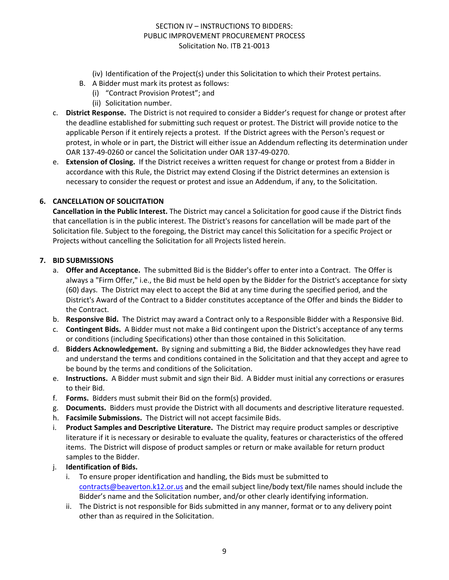- (iv) Identification of the Project(s) under this Solicitation to which their Protest pertains.
- B. A Bidder must mark its protest as follows:
	- (i) "Contract Provision Protest"; and
		- (ii) Solicitation number.
- c. **District Response.** The District is not required to consider a Bidder's request for change or protest after the deadline established for submitting such request or protest. The District will provide notice to the applicable Person if it entirely rejects a protest. If the District agrees with the Person's request or protest, in whole or in part, the District will either issue an Addendum reflecting its determination under OAR 137-49-0260 or cancel the Solicitation under OAR 137-49-0270.
- e. **Extension of Closing.** If the District receives a written request for change or protest from a Bidder in accordance with this Rule, the District may extend Closing if the District determines an extension is necessary to consider the request or protest and issue an Addendum, if any, to the Solicitation.

# **6. CANCELLATION OF SOLICITATION**

**Cancellation in the Public Interest.** The District may cancel a Solicitation for good cause if the District finds that cancellation is in the public interest. The District's reasons for cancellation will be made part of the Solicitation file. Subject to the foregoing, the District may cancel this Solicitation for a specific Project or Projects without cancelling the Solicitation for all Projects listed herein.

#### **7. BID SUBMISSIONS**

- a. **Offer and Acceptance.** The submitted Bid is the Bidder's offer to enter into a Contract. The Offer is always a "Firm Offer," i.e., the Bid must be held open by the Bidder for the District's acceptance for sixty (60) days. The District may elect to accept the Bid at any time during the specified period, and the District's Award of the Contract to a Bidder constitutes acceptance of the Offer and binds the Bidder to the Contract.
- b. **Responsive Bid.** The District may award a Contract only to a Responsible Bidder with a Responsive Bid.
- c. **Contingent Bids.** A Bidder must not make a Bid contingent upon the District's acceptance of any terms or conditions (including Specifications) other than those contained in this Solicitation.
- d. **Bidders Acknowledgement.** By signing and submitting a Bid, the Bidder acknowledges they have read and understand the terms and conditions contained in the Solicitation and that they accept and agree to be bound by the terms and conditions of the Solicitation.
- e. **Instructions.** A Bidder must submit and sign their Bid. A Bidder must initial any corrections or erasures to their Bid.
- f. **Forms.** Bidders must submit their Bid on the form(s) provided.
- g. **Documents.** Bidders must provide the District with all documents and descriptive literature requested.
- h. **Facsimile Submissions.** The District will not accept facsimile Bids.
- i. **Product Samples and Descriptive Literature.** The District may require product samples or descriptive literature if it is necessary or desirable to evaluate the quality, features or characteristics of the offered items. The District will dispose of product samples or return or make available for return product samples to the Bidder.
- j. **Identification of Bids.**
	- i. To ensure proper identification and handling, the Bids must be submitted to [contracts@beaverton.k12.or.us](mailto:contracts@beaverton.k12.or.us) and the email subject line/body text/file names should include the Bidder's name and the Solicitation number, and/or other clearly identifying information.
	- ii. The District is not responsible for Bids submitted in any manner, format or to any delivery point other than as required in the Solicitation.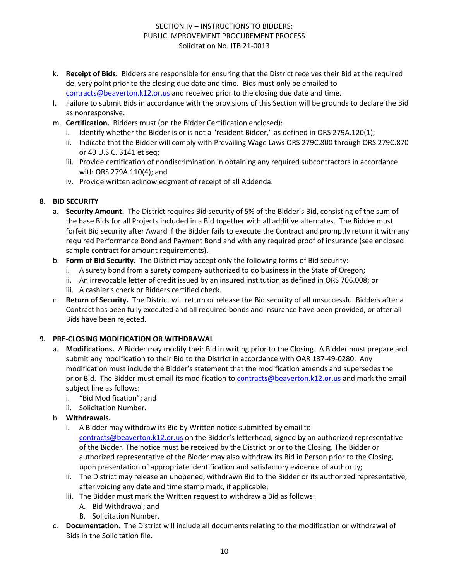- k. **Receipt of Bids.** Bidders are responsible for ensuring that the District receives their Bid at the required delivery point prior to the closing due date and time. Bids must only be emailed to [contracts@beaverton.k12.or.us](mailto:contracts@beaverton.k12.or.us) and received prior to the closing due date and time.
- l. Failure to submit Bids in accordance with the provisions of this Section will be grounds to declare the Bid as nonresponsive.
- m. **Certification.** Bidders must (on the Bidder Certification enclosed):
	- i. Identify whether the Bidder is or is not a "resident Bidder," as defined in ORS 279A.120(1);
	- ii. Indicate that the Bidder will comply with Prevailing Wage Laws ORS 279C.800 through ORS 279C.870 or 40 U.S.C. 3141 et seq;
	- iii. Provide certification of nondiscrimination in obtaining any required subcontractors in accordance with ORS 279A.110(4); and
	- iv. Provide written acknowledgment of receipt of all Addenda.

# **8. BID SECURITY**

- a. **Security Amount.** The District requires Bid security of 5% of the Bidder's Bid, consisting of the sum of the base Bids for all Projects included in a Bid together with all additive alternates. The Bidder must forfeit Bid security after Award if the Bidder fails to execute the Contract and promptly return it with any required Performance Bond and Payment Bond and with any required proof of insurance (see enclosed sample contract for amount requirements).
- b. **Form of Bid Security.** The District may accept only the following forms of Bid security:
	- i. A surety bond from a surety company authorized to do business in the State of Oregon;
	- ii. An irrevocable letter of credit issued by an insured institution as defined in ORS 706.008; or
	- iii. A cashier's check or Bidders certified check.
- c. **Return of Security.** The District will return or release the Bid security of all unsuccessful Bidders after a Contract has been fully executed and all required bonds and insurance have been provided, or after all Bids have been rejected.

# **9. PRE-CLOSING MODIFICATION OR WITHDRAWAL**

- a. **Modifications.** A Bidder may modify their Bid in writing prior to the Closing. A Bidder must prepare and submit any modification to their Bid to the District in accordance with OAR 137-49-0280. Any modification must include the Bidder's statement that the modification amends and supersedes the prior Bid. The Bidder must email its modification to [contracts@beaverton.k12.or.us](mailto:contracts@beaverton.k12.or.us) and mark the email subject line as follows:
	- i. "Bid Modification"; and
	- ii. Solicitation Number.
- b. **Withdrawals.**
	- i. A Bidder may withdraw its Bid by Written notice submitted by email to [contracts@beaverton.k12.or.us](mailto:contracts@beaverton.k12.or.us) on the Bidder's letterhead, signed by an authorized representative of the Bidder. The notice must be received by the District prior to the Closing. The Bidder or authorized representative of the Bidder may also withdraw its Bid in Person prior to the Closing, upon presentation of appropriate identification and satisfactory evidence of authority;
	- ii. The District may release an unopened, withdrawn Bid to the Bidder or its authorized representative, after voiding any date and time stamp mark, if applicable;
	- iii. The Bidder must mark the Written request to withdraw a Bid as follows:
		- A. Bid Withdrawal; and
		- B. Solicitation Number.
- c. **Documentation.** The District will include all documents relating to the modification or withdrawal of Bids in the Solicitation file.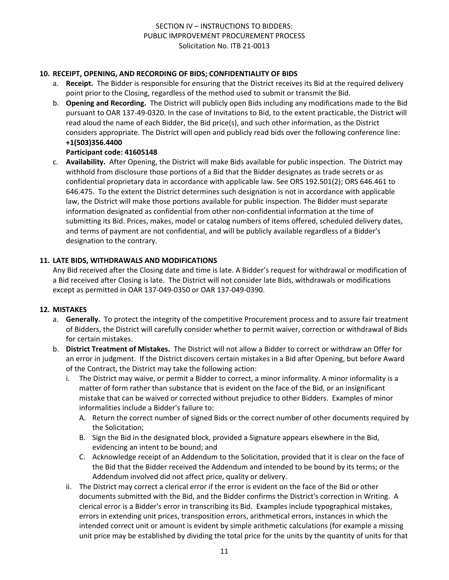# **10. RECEIPT, OPENING, AND RECORDING OF BIDS; CONFIDENTIALITY OF BIDS**

- a. **Receipt.** The Bidder is responsible for ensuring that the District receives its Bid at the required delivery point prior to the Closing, regardless of the method used to submit or transmit the Bid.
- b. **Opening and Recording.** The District will publicly open Bids including any modifications made to the Bid pursuant to OAR 137-49-0320. In the case of Invitations to Bid, to the extent practicable, the District will read aloud the name of each Bidder, the Bid price(s), and such other information, as the District considers appropriate. The District will open and publicly read bids over the following conference line: **+1(503)356.4400**

# **Participant code: 41605148**

c. **Availability.** After Opening, the District will make Bids available for public inspection. The District may withhold from disclosure those portions of a Bid that the Bidder designates as trade secrets or as confidential proprietary data in accordance with applicable law. See ORS 192.501(2); ORS 646.461 to 646.475. To the extent the District determines such designation is not in accordance with applicable law, the District will make those portions available for public inspection. The Bidder must separate information designated as confidential from other non-confidential information at the time of submitting its Bid. Prices, makes, model or catalog numbers of items offered, scheduled delivery dates, and terms of payment are not confidential, and will be publicly available regardless of a Bidder's designation to the contrary.

# **11. LATE BIDS, WITHDRAWALS AND MODIFICATIONS**

Any Bid received after the Closing date and time is late. A Bidder's request for withdrawal or modification of a Bid received after Closing is late. The District will not consider late Bids, withdrawals or modifications except as permitted in OAR 137-049-0350 or OAR 137-049-0390.

#### **12. MISTAKES**

- a. **Generally.** To protect the integrity of the competitive Procurement process and to assure fair treatment of Bidders, the District will carefully consider whether to permit waiver, correction or withdrawal of Bids for certain mistakes.
- b. **District Treatment of Mistakes.** The District will not allow a Bidder to correct or withdraw an Offer for an error in judgment. If the District discovers certain mistakes in a Bid after Opening, but before Award of the Contract, the District may take the following action:
	- i. The District may waive, or permit a Bidder to correct, a minor informality. A minor informality is a matter of form rather than substance that is evident on the face of the Bid, or an insignificant mistake that can be waived or corrected without prejudice to other Bidders. Examples of minor informalities include a Bidder's failure to:
		- A. Return the correct number of signed Bids or the correct number of other documents required by the Solicitation;
		- B. Sign the Bid in the designated block, provided a Signature appears elsewhere in the Bid, evidencing an intent to be bound; and
		- C. Acknowledge receipt of an Addendum to the Solicitation, provided that it is clear on the face of the Bid that the Bidder received the Addendum and intended to be bound by its terms; or the Addendum involved did not affect price, quality or delivery.
	- ii. The District may correct a clerical error if the error is evident on the face of the Bid or other documents submitted with the Bid, and the Bidder confirms the District's correction in Writing. A clerical error is a Bidder's error in transcribing its Bid. Examples include typographical mistakes, errors in extending unit prices, transposition errors, arithmetical errors, instances in which the intended correct unit or amount is evident by simple arithmetic calculations (for example a missing unit price may be established by dividing the total price for the units by the quantity of units for that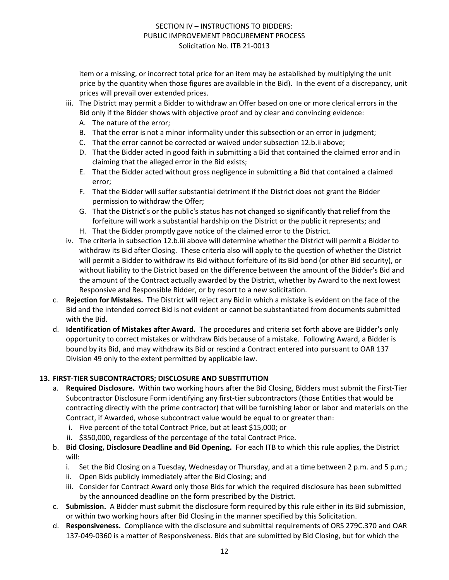item or a missing, or incorrect total price for an item may be established by multiplying the unit price by the quantity when those figures are available in the Bid). In the event of a discrepancy, unit prices will prevail over extended prices.

- iii. The District may permit a Bidder to withdraw an Offer based on one or more clerical errors in the Bid only if the Bidder shows with objective proof and by clear and convincing evidence:
	- A. The nature of the error;
	- B. That the error is not a minor informality under this subsection or an error in judgment;
	- C. That the error cannot be corrected or waived under subsection 12.b.ii above;
	- D. That the Bidder acted in good faith in submitting a Bid that contained the claimed error and in claiming that the alleged error in the Bid exists;
	- E. That the Bidder acted without gross negligence in submitting a Bid that contained a claimed error;
	- F. That the Bidder will suffer substantial detriment if the District does not grant the Bidder permission to withdraw the Offer;
	- G. That the District's or the public's status has not changed so significantly that relief from the forfeiture will work a substantial hardship on the District or the public it represents; and
	- H. That the Bidder promptly gave notice of the claimed error to the District.
- iv. The criteria in subsection 12.b.iii above will determine whether the District will permit a Bidder to withdraw its Bid after Closing. These criteria also will apply to the question of whether the District will permit a Bidder to withdraw its Bid without forfeiture of its Bid bond (or other Bid security), or without liability to the District based on the difference between the amount of the Bidder's Bid and the amount of the Contract actually awarded by the District, whether by Award to the next lowest Responsive and Responsible Bidder, or by resort to a new solicitation.
- c. **Rejection for Mistakes.** The District will reject any Bid in which a mistake is evident on the face of the Bid and the intended correct Bid is not evident or cannot be substantiated from documents submitted with the Bid.
- d. **Identification of Mistakes after Award.** The procedures and criteria set forth above are Bidder's only opportunity to correct mistakes or withdraw Bids because of a mistake. Following Award, a Bidder is bound by its Bid, and may withdraw its Bid or rescind a Contract entered into pursuant to OAR 137 Division 49 only to the extent permitted by applicable law.

#### **13. FIRST-TIER SUBCONTRACTORS; DISCLOSURE AND SUBSTITUTION**

- a. **Required Disclosure.** Within two working hours after the Bid Closing, Bidders must submit the First-Tier Subcontractor Disclosure Form identifying any first-tier subcontractors (those Entities that would be contracting directly with the prime contractor) that will be furnishing labor or labor and materials on the Contract, if Awarded, whose subcontract value would be equal to or greater than:
	- i. Five percent of the total Contract Price, but at least \$15,000; or
	- ii. \$350,000, regardless of the percentage of the total Contract Price.
- b. **Bid Closing, Disclosure Deadline and Bid Opening.** For each ITB to which this rule applies, the District will:
	- i. Set the Bid Closing on a Tuesday, Wednesday or Thursday, and at a time between 2 p.m. and 5 p.m.;
	- ii. Open Bids publicly immediately after the Bid Closing; and
	- iii. Consider for Contract Award only those Bids for which the required disclosure has been submitted by the announced deadline on the form prescribed by the District.
- c. **Submission.** A Bidder must submit the disclosure form required by this rule either in its Bid submission, or within two working hours after Bid Closing in the manner specified by this Solicitation.
- d. **Responsiveness.** Compliance with the disclosure and submittal requirements of ORS 279C.370 and OAR 137-049-0360 is a matter of Responsiveness. Bids that are submitted by Bid Closing, but for which the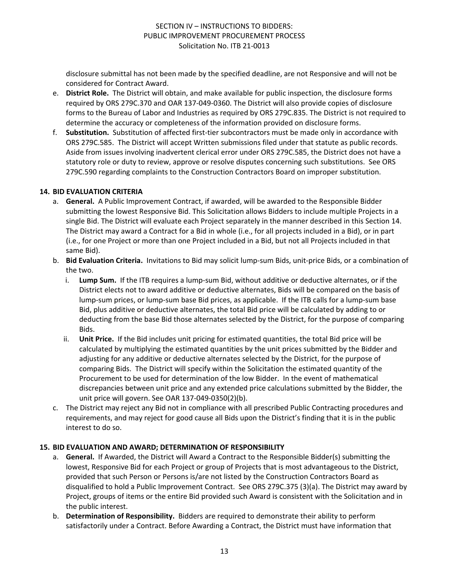disclosure submittal has not been made by the specified deadline, are not Responsive and will not be considered for Contract Award.

- e. **District Role.** The District will obtain, and make available for public inspection, the disclosure forms required by ORS 279C.370 and OAR 137-049-0360. The District will also provide copies of disclosure forms to the Bureau of Labor and Industries as required by ORS 279C.835. The District is not required to determine the accuracy or completeness of the information provided on disclosure forms.
- f. **Substitution.** Substitution of affected first-tier subcontractors must be made only in accordance with ORS 279C.585. The District will accept Written submissions filed under that statute as public records. Aside from issues involving inadvertent clerical error under ORS 279C.585, the District does not have a statutory role or duty to review, approve or resolve disputes concerning such substitutions. See ORS 279C.590 regarding complaints to the Construction Contractors Board on improper substitution.

#### **14. BID EVALUATION CRITERIA**

- a. **General.** A Public Improvement Contract, if awarded, will be awarded to the Responsible Bidder submitting the lowest Responsive Bid. This Solicitation allows Bidders to include multiple Projects in a single Bid. The District will evaluate each Project separately in the manner described in this Section 14. The District may award a Contract for a Bid in whole (i.e., for all projects included in a Bid), or in part (i.e., for one Project or more than one Project included in a Bid, but not all Projects included in that same Bid).
- b. **Bid Evaluation Criteria.** Invitations to Bid may solicit lump-sum Bids, unit-price Bids, or a combination of the two.
	- i. **Lump Sum.** If the ITB requires a lump-sum Bid, without additive or deductive alternates, or if the District elects not to award additive or deductive alternates, Bids will be compared on the basis of lump-sum prices, or lump-sum base Bid prices, as applicable. If the ITB calls for a lump-sum base Bid, plus additive or deductive alternates, the total Bid price will be calculated by adding to or deducting from the base Bid those alternates selected by the District, for the purpose of comparing Bids.
	- ii. **Unit Price.** If the Bid includes unit pricing for estimated quantities, the total Bid price will be calculated by multiplying the estimated quantities by the unit prices submitted by the Bidder and adjusting for any additive or deductive alternates selected by the District, for the purpose of comparing Bids. The District will specify within the Solicitation the estimated quantity of the Procurement to be used for determination of the low Bidder. In the event of mathematical discrepancies between unit price and any extended price calculations submitted by the Bidder, the unit price will govern. See OAR 137-049-0350(2)(b).
- c. The District may reject any Bid not in compliance with all prescribed Public Contracting procedures and requirements, and may reject for good cause all Bids upon the District's finding that it is in the public interest to do so.

# **15. BID EVALUATION AND AWARD; DETERMINATION OF RESPONSIBILITY**

- a. **General.** If Awarded, the District will Award a Contract to the Responsible Bidder(s) submitting the lowest, Responsive Bid for each Project or group of Projects that is most advantageous to the District, provided that such Person or Persons is/are not listed by the Construction Contractors Board as disqualified to hold a Public Improvement Contract. See ORS 279C.375 (3)(a). The District may award by Project, groups of items or the entire Bid provided such Award is consistent with the Solicitation and in the public interest.
- b. **Determination of Responsibility.** Bidders are required to demonstrate their ability to perform satisfactorily under a Contract. Before Awarding a Contract, the District must have information that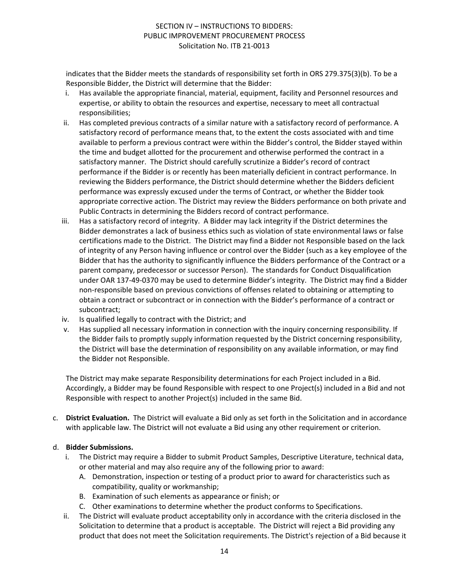indicates that the Bidder meets the standards of responsibility set forth in ORS 279.375(3)(b). To be a Responsible Bidder, the District will determine that the Bidder:

- i. Has available the appropriate financial, material, equipment, facility and Personnel resources and expertise, or ability to obtain the resources and expertise, necessary to meet all contractual responsibilities;
- ii. Has completed previous contracts of a similar nature with a satisfactory record of performance. A satisfactory record of performance means that, to the extent the costs associated with and time available to perform a previous contract were within the Bidder's control, the Bidder stayed within the time and budget allotted for the procurement and otherwise performed the contract in a satisfactory manner. The District should carefully scrutinize a Bidder's record of contract performance if the Bidder is or recently has been materially deficient in contract performance. In reviewing the Bidders performance, the District should determine whether the Bidders deficient performance was expressly excused under the terms of Contract, or whether the Bidder took appropriate corrective action. The District may review the Bidders performance on both private and Public Contracts in determining the Bidders record of contract performance.
- iii. Has a satisfactory record of integrity. A Bidder may lack integrity if the District determines the Bidder demonstrates a lack of business ethics such as violation of state environmental laws or false certifications made to the District. The District may find a Bidder not Responsible based on the lack of integrity of any Person having influence or control over the Bidder (such as a key employee of the Bidder that has the authority to significantly influence the Bidders performance of the Contract or a parent company, predecessor or successor Person). The standards for Conduct Disqualification under OAR 137-49-0370 may be used to determine Bidder's integrity. The District may find a Bidder non-responsible based on previous convictions of offenses related to obtaining or attempting to obtain a contract or subcontract or in connection with the Bidder's performance of a contract or subcontract;
- iv. Is qualified legally to contract with the District; and
- v. Has supplied all necessary information in connection with the inquiry concerning responsibility. If the Bidder fails to promptly supply information requested by the District concerning responsibility, the District will base the determination of responsibility on any available information, or may find the Bidder not Responsible.

The District may make separate Responsibility determinations for each Project included in a Bid. Accordingly, a Bidder may be found Responsible with respect to one Project(s) included in a Bid and not Responsible with respect to another Project(s) included in the same Bid.

c. **District Evaluation.** The District will evaluate a Bid only as set forth in the Solicitation and in accordance with applicable law. The District will not evaluate a Bid using any other requirement or criterion.

# d. **Bidder Submissions.**

- i. The District may require a Bidder to submit Product Samples, Descriptive Literature, technical data, or other material and may also require any of the following prior to award:
	- A. Demonstration, inspection or testing of a product prior to award for characteristics such as compatibility, quality or workmanship;
	- B. Examination of such elements as appearance or finish; or
	- C. Other examinations to determine whether the product conforms to Specifications.
- ii. The District will evaluate product acceptability only in accordance with the criteria disclosed in the Solicitation to determine that a product is acceptable. The District will reject a Bid providing any product that does not meet the Solicitation requirements. The District's rejection of a Bid because it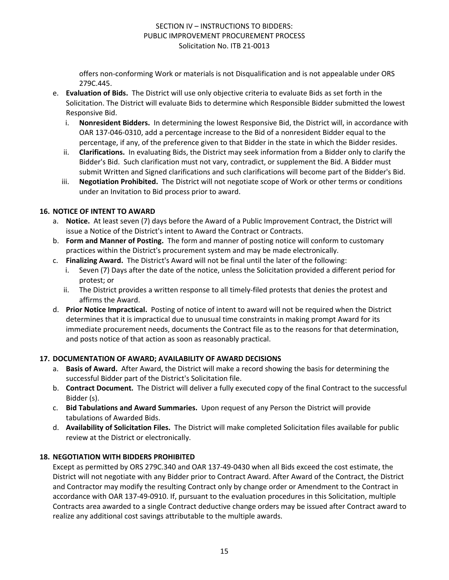offers non-conforming Work or materials is not Disqualification and is not appealable under ORS 279C.445.

- e. **Evaluation of Bids.** The District will use only objective criteria to evaluate Bids as set forth in the Solicitation. The District will evaluate Bids to determine which Responsible Bidder submitted the lowest Responsive Bid.
	- i. **Nonresident Bidders.** In determining the lowest Responsive Bid, the District will, in accordance with OAR 137-046-0310, add a percentage increase to the Bid of a nonresident Bidder equal to the percentage, if any, of the preference given to that Bidder in the state in which the Bidder resides.
	- ii. **Clarifications.** In evaluating Bids, the District may seek information from a Bidder only to clarify the Bidder's Bid. Such clarification must not vary, contradict, or supplement the Bid. A Bidder must submit Written and Signed clarifications and such clarifications will become part of the Bidder's Bid.
	- iii. **Negotiation Prohibited.** The District will not negotiate scope of Work or other terms or conditions under an Invitation to Bid process prior to award.

# **16. NOTICE OF INTENT TO AWARD**

- a. **Notice.** At least seven (7) days before the Award of a Public Improvement Contract, the District will issue a Notice of the District's intent to Award the Contract or Contracts.
- b. **Form and Manner of Posting.** The form and manner of posting notice will conform to customary practices within the District's procurement system and may be made electronically.
- c. **Finalizing Award.** The District's Award will not be final until the later of the following:
	- Seven (7) Days after the date of the notice, unless the Solicitation provided a different period for protest; or
	- ii. The District provides a written response to all timely-filed protests that denies the protest and affirms the Award.
- d. **Prior Notice Impractical.** Posting of notice of intent to award will not be required when the District determines that it is impractical due to unusual time constraints in making prompt Award for its immediate procurement needs, documents the Contract file as to the reasons for that determination, and posts notice of that action as soon as reasonably practical.

# **17. DOCUMENTATION OF AWARD; AVAILABILITY OF AWARD DECISIONS**

- a. **Basis of Award.** After Award, the District will make a record showing the basis for determining the successful Bidder part of the District's Solicitation file.
- b. **Contract Document.** The District will deliver a fully executed copy of the final Contract to the successful Bidder (s).
- c. **Bid Tabulations and Award Summaries.** Upon request of any Person the District will provide tabulations of Awarded Bids.
- d. **Availability of Solicitation Files.** The District will make completed Solicitation files available for public review at the District or electronically.

# **18. NEGOTIATION WITH BIDDERS PROHIBITED**

Except as permitted by ORS 279C.340 and OAR 137-49-0430 when all Bids exceed the cost estimate, the District will not negotiate with any Bidder prior to Contract Award. After Award of the Contract, the District and Contractor may modify the resulting Contract only by change order or Amendment to the Contract in accordance with OAR 137-49-0910. If, pursuant to the evaluation procedures in this Solicitation, multiple Contracts area awarded to a single Contract deductive change orders may be issued after Contract award to realize any additional cost savings attributable to the multiple awards.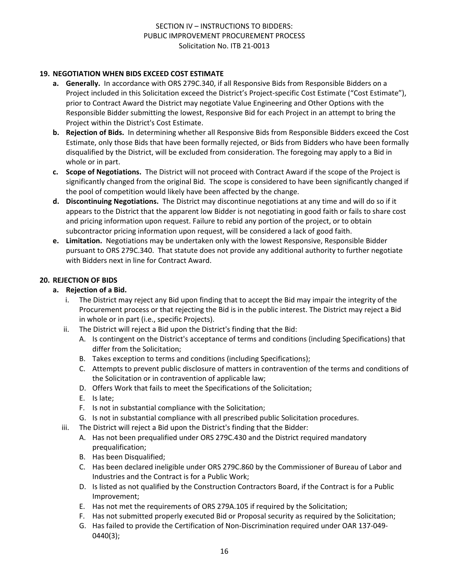# **19. NEGOTIATION WHEN BIDS EXCEED COST ESTIMATE**

- **a. Generally.** In accordance with ORS 279C.340, if all Responsive Bids from Responsible Bidders on a Project included in this Solicitation exceed the District's Project-specific Cost Estimate ("Cost Estimate"), prior to Contract Award the District may negotiate Value Engineering and Other Options with the Responsible Bidder submitting the lowest, Responsive Bid for each Project in an attempt to bring the Project within the District's Cost Estimate.
- **b. Rejection of Bids.** In determining whether all Responsive Bids from Responsible Bidders exceed the Cost Estimate, only those Bids that have been formally rejected, or Bids from Bidders who have been formally disqualified by the District, will be excluded from consideration. The foregoing may apply to a Bid in whole or in part.
- **c. Scope of Negotiations.** The District will not proceed with Contract Award if the scope of the Project is significantly changed from the original Bid. The scope is considered to have been significantly changed if the pool of competition would likely have been affected by the change.
- **d. Discontinuing Negotiations.** The District may discontinue negotiations at any time and will do so if it appears to the District that the apparent low Bidder is not negotiating in good faith or fails to share cost and pricing information upon request. Failure to rebid any portion of the project, or to obtain subcontractor pricing information upon request, will be considered a lack of good faith.
- **e. Limitation.** Negotiations may be undertaken only with the lowest Responsive, Responsible Bidder pursuant to ORS 279C.340. That statute does not provide any additional authority to further negotiate with Bidders next in line for Contract Award.

# **20. REJECTION OF BIDS**

#### **a. Rejection of a Bid.**

- i. The District may reject any Bid upon finding that to accept the Bid may impair the integrity of the Procurement process or that rejecting the Bid is in the public interest. The District may reject a Bid in whole or in part (i.e., specific Projects).
- ii. The District will reject a Bid upon the District's finding that the Bid:
	- A. Is contingent on the District's acceptance of terms and conditions (including Specifications) that differ from the Solicitation;
	- B. Takes exception to terms and conditions (including Specifications);
	- C. Attempts to prevent public disclosure of matters in contravention of the terms and conditions of the Solicitation or in contravention of applicable law;
	- D. Offers Work that fails to meet the Specifications of the Solicitation;
	- E. Is late;
	- F. Is not in substantial compliance with the Solicitation;
	- G. Is not in substantial compliance with all prescribed public Solicitation procedures.
- iii. The District will reject a Bid upon the District's finding that the Bidder:
	- A. Has not been prequalified under ORS 279C.430 and the District required mandatory prequalification;
	- B. Has been Disqualified;
	- C. Has been declared ineligible under ORS 279C.860 by the Commissioner of Bureau of Labor and Industries and the Contract is for a Public Work;
	- D. Is listed as not qualified by the Construction Contractors Board, if the Contract is for a Public Improvement;
	- E. Has not met the requirements of ORS 279A.105 if required by the Solicitation;
	- F. Has not submitted properly executed Bid or Proposal security as required by the Solicitation;
	- G. Has failed to provide the Certification of Non-Discrimination required under OAR 137-049- 0440(3);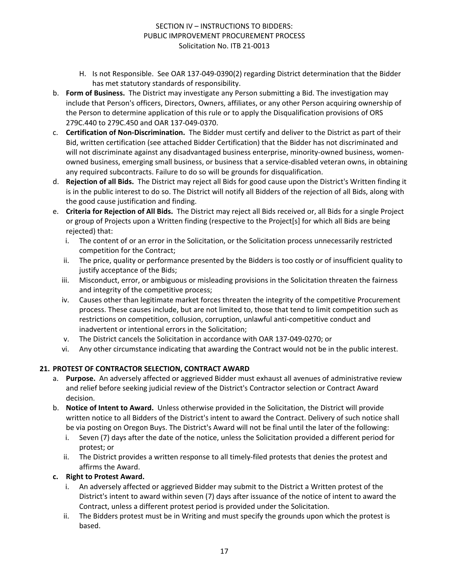- H. Is not Responsible. See OAR 137-049-0390(2) regarding District determination that the Bidder has met statutory standards of responsibility.
- b. **Form of Business.** The District may investigate any Person submitting a Bid. The investigation may include that Person's officers, Directors, Owners, affiliates, or any other Person acquiring ownership of the Person to determine application of this rule or to apply the Disqualification provisions of ORS 279C.440 to 279C.450 and OAR 137-049-0370.
- c. **Certification of Non-Discrimination.** The Bidder must certify and deliver to the District as part of their Bid, written certification (see attached Bidder Certification) that the Bidder has not discriminated and will not discriminate against any disadvantaged business enterprise, minority-owned business, womenowned business, emerging small business, or business that a service-disabled veteran owns, in obtaining any required subcontracts. Failure to do so will be grounds for disqualification.
- d. **Rejection of all Bids.** The District may reject all Bids for good cause upon the District's Written finding it is in the public interest to do so. The District will notify all Bidders of the rejection of all Bids, along with the good cause justification and finding.
- e. **Criteria for Rejection of All Bids.** The District may reject all Bids received or, all Bids for a single Project or group of Projects upon a Written finding (respective to the Project[s] for which all Bids are being rejected) that:
	- i. The content of or an error in the Solicitation, or the Solicitation process unnecessarily restricted competition for the Contract;
	- ii. The price, quality or performance presented by the Bidders is too costly or of insufficient quality to justify acceptance of the Bids;
	- iii. Misconduct, error, or ambiguous or misleading provisions in the Solicitation threaten the fairness and integrity of the competitive process;
	- iv. Causes other than legitimate market forces threaten the integrity of the competitive Procurement process. These causes include, but are not limited to, those that tend to limit competition such as restrictions on competition, collusion, corruption, unlawful anti-competitive conduct and inadvertent or intentional errors in the Solicitation;
	- v. The District cancels the Solicitation in accordance with OAR 137-049-0270; or
	- vi. Any other circumstance indicating that awarding the Contract would not be in the public interest.

# **21. PROTEST OF CONTRACTOR SELECTION, CONTRACT AWARD**

- a. **Purpose.** An adversely affected or aggrieved Bidder must exhaust all avenues of administrative review and relief before seeking judicial review of the District's Contractor selection or Contract Award decision.
- b. **Notice of Intent to Award.** Unless otherwise provided in the Solicitation, the District will provide written notice to all Bidders of the District's intent to award the Contract. Delivery of such notice shall be via posting on Oregon Buys. The District's Award will not be final until the later of the following:
	- i. Seven (7) days after the date of the notice, unless the Solicitation provided a different period for protest; or
	- ii. The District provides a written response to all timely-filed protests that denies the protest and affirms the Award.

# **c. Right to Protest Award.**

- i. An adversely affected or aggrieved Bidder may submit to the District a Written protest of the District's intent to award within seven (7) days after issuance of the notice of intent to award the Contract, unless a different protest period is provided under the Solicitation.
- ii. The Bidders protest must be in Writing and must specify the grounds upon which the protest is based.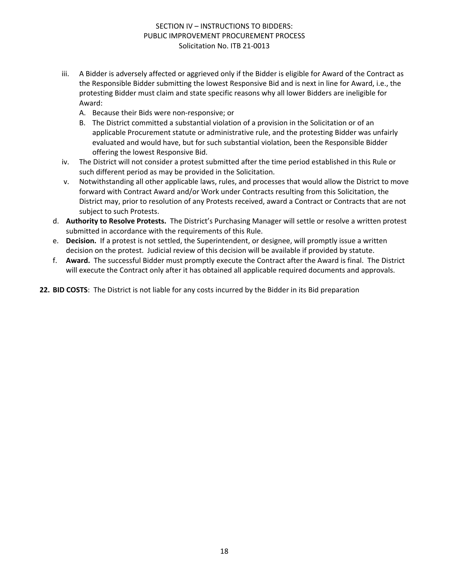- iii. A Bidder is adversely affected or aggrieved only if the Bidder is eligible for Award of the Contract as the Responsible Bidder submitting the lowest Responsive Bid and is next in line for Award, i.e., the protesting Bidder must claim and state specific reasons why all lower Bidders are ineligible for Award:
	- A. Because their Bids were non-responsive; or
	- B. The District committed a substantial violation of a provision in the Solicitation or of an applicable Procurement statute or administrative rule, and the protesting Bidder was unfairly evaluated and would have, but for such substantial violation, been the Responsible Bidder offering the lowest Responsive Bid.
- iv. The District will not consider a protest submitted after the time period established in this Rule or such different period as may be provided in the Solicitation.
- v. Notwithstanding all other applicable laws, rules, and processes that would allow the District to move forward with Contract Award and/or Work under Contracts resulting from this Solicitation, the District may, prior to resolution of any Protests received, award a Contract or Contracts that are not subject to such Protests.
- d. **Authority to Resolve Protests.** The District's Purchasing Manager will settle or resolve a written protest submitted in accordance with the requirements of this Rule.
- e. **Decision.** If a protest is not settled, the Superintendent, or designee, will promptly issue a written decision on the protest. Judicial review of this decision will be available if provided by statute.
- f. **Award.** The successful Bidder must promptly execute the Contract after the Award is final. The District will execute the Contract only after it has obtained all applicable required documents and approvals.

**22. BID COSTS**: The District is not liable for any costs incurred by the Bidder in its Bid preparation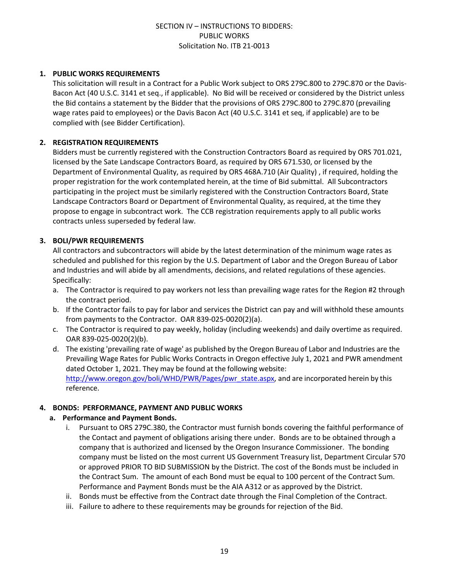#### **1. PUBLIC WORKS REQUIREMENTS**

This solicitation will result in a Contract for a Public Work subject to ORS 279C.800 to 279C.870 or the Davis-Bacon Act (40 U.S.C. 3141 et seq., if applicable). No Bid will be received or considered by the District unless the Bid contains a statement by the Bidder that the provisions of ORS 279C.800 to 279C.870 (prevailing wage rates paid to employees) or the Davis Bacon Act (40 U.S.C. 3141 et seq, if applicable) are to be complied with (see Bidder Certification).

#### **2. REGISTRATION REQUIREMENTS**

Bidders must be currently registered with the Construction Contractors Board as required by ORS 701.021, licensed by the Sate Landscape Contractors Board, as required by ORS 671.530, or licensed by the Department of Environmental Quality, as required by ORS 468A.710 (Air Quality) , if required, holding the proper registration for the work contemplated herein, at the time of Bid submittal. All Subcontractors participating in the project must be similarly registered with the Construction Contractors Board, State Landscape Contractors Board or Department of Environmental Quality, as required, at the time they propose to engage in subcontract work. The CCB registration requirements apply to all public works contracts unless superseded by federal law.

# **3. BOLI/PWR REQUIREMENTS**

All contractors and subcontractors will abide by the latest determination of the minimum wage rates as scheduled and published for this region by the U.S. Department of Labor and the Oregon Bureau of Labor and Industries and will abide by all amendments, decisions, and related regulations of these agencies. Specifically:

- a. The Contractor is required to pay workers not less than prevailing wage rates for the Region #2 through the contract period.
- b. If the Contractor fails to pay for labor and services the District can pay and will withhold these amounts from payments to the Contractor. OAR 839-025-0020(2)(a).
- c. The Contractor is required to pay weekly, holiday (including weekends) and daily overtime as required. OAR 839-025-0020(2)(b).
- d. The existing 'prevailing rate of wage' as published by the Oregon Bureau of Labor and Industries are the Prevailing Wage Rates for Public Works Contracts in Oregon effective July 1, 2021 and PWR amendment dated October 1, 2021. They may be found at the following website: [http://www.oregon.gov/boli/WHD/PWR/Pages/pwr\\_state.aspx](http://www.oregon.gov/boli/WHD/PWR/Pages/pwr_state.aspx), and are incorporated herein by this reference.

#### **4. BONDS: PERFORMANCE, PAYMENT AND PUBLIC WORKS**

#### **a. Performance and Payment Bonds.**

- i. Pursuant to ORS 279C.380, the Contractor must furnish bonds covering the faithful performance of the Contact and payment of obligations arising there under. Bonds are to be obtained through a company that is authorized and licensed by the Oregon Insurance Commissioner. The bonding company must be listed on the most current US Government Treasury list, Department Circular 570 or approved PRIOR TO BID SUBMISSION by the District. The cost of the Bonds must be included in the Contract Sum. The amount of each Bond must be equal to 100 percent of the Contract Sum. Performance and Payment Bonds must be the AIA A312 or as approved by the District.
- ii. Bonds must be effective from the Contract date through the Final Completion of the Contract.
- iii. Failure to adhere to these requirements may be grounds for rejection of the Bid.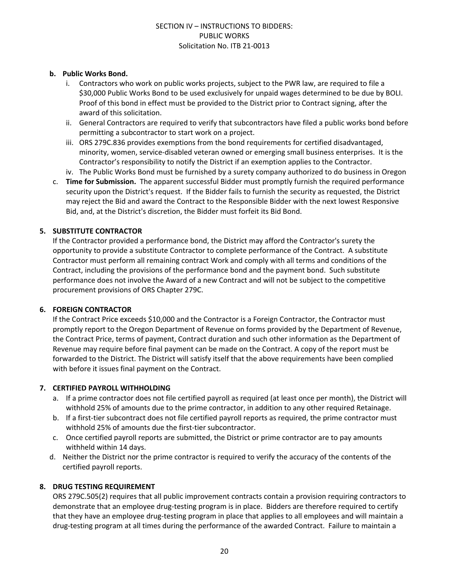# **b. Public Works Bond.**

- i. Contractors who work on public works projects, subject to the PWR law, are required to file a \$30,000 Public Works Bond to be used exclusively for unpaid wages determined to be due by BOLI. Proof of this bond in effect must be provided to the District prior to Contract signing, after the award of this solicitation.
- ii. General Contractors are required to verify that subcontractors have filed a public works bond before permitting a subcontractor to start work on a project.
- iii. ORS 279C.836 provides exemptions from the bond requirements for certified disadvantaged, minority, women, service-disabled veteran owned or emerging small business enterprises. It is the Contractor's responsibility to notify the District if an exemption applies to the Contractor.
- iv. The Public Works Bond must be furnished by a surety company authorized to do business in Oregon
- c. **Time for Submission.** The apparent successful Bidder must promptly furnish the required performance security upon the District's request. If the Bidder fails to furnish the security as requested, the District may reject the Bid and award the Contract to the Responsible Bidder with the next lowest Responsive Bid, and, at the District's discretion, the Bidder must forfeit its Bid Bond.

# **5. SUBSTITUTE CONTRACTOR**

If the Contractor provided a performance bond, the District may afford the Contractor's surety the opportunity to provide a substitute Contractor to complete performance of the Contract. A substitute Contractor must perform all remaining contract Work and comply with all terms and conditions of the Contract, including the provisions of the performance bond and the payment bond. Such substitute performance does not involve the Award of a new Contract and will not be subject to the competitive procurement provisions of ORS Chapter 279C.

#### **6. FOREIGN CONTRACTOR**

If the Contract Price exceeds \$10,000 and the Contractor is a Foreign Contractor, the Contractor must promptly report to the Oregon Department of Revenue on forms provided by the Department of Revenue, the Contract Price, terms of payment, Contract duration and such other information as the Department of Revenue may require before final payment can be made on the Contract. A copy of the report must be forwarded to the District. The District will satisfy itself that the above requirements have been complied with before it issues final payment on the Contract.

#### **7. CERTIFIED PAYROLL WITHHOLDING**

- a. If a prime contractor does not file certified payroll as required (at least once per month), the District will withhold 25% of amounts due to the prime contractor, in addition to any other required Retainage.
- b. If a first-tier subcontract does not file certified payroll reports as required, the prime contractor must withhold 25% of amounts due the first-tier subcontractor.
- c. Once certified payroll reports are submitted, the District or prime contractor are to pay amounts withheld within 14 days.
- d. Neither the District nor the prime contractor is required to verify the accuracy of the contents of the certified payroll reports.

# **8. DRUG TESTING REQUIREMENT**

ORS 279C.505(2) requires that all public improvement contracts contain a provision requiring contractors to demonstrate that an employee drug-testing program is in place. Bidders are therefore required to certify that they have an employee drug-testing program in place that applies to all employees and will maintain a drug-testing program at all times during the performance of the awarded Contract. Failure to maintain a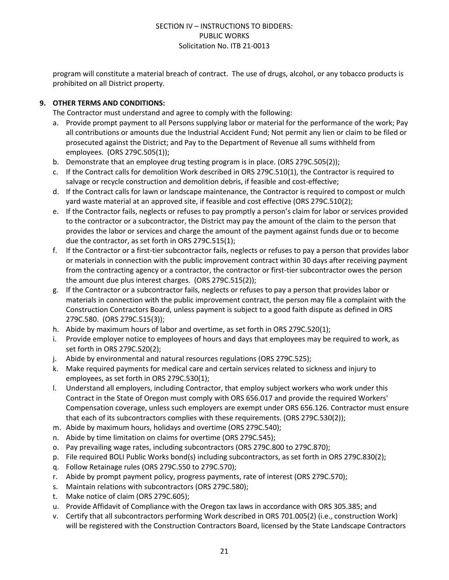program will constitute a material breach of contract. The use of drugs, alcohol, or any tobacco products is prohibited on all District property.

# **9. OTHER TERMS AND CONDITIONS:**

The Contractor must understand and agree to comply with the following:

- a. Provide prompt payment to all Persons supplying labor or material for the performance of the work; Pay all contributions or amounts due the Industrial Accident Fund; Not permit any lien or claim to be filed or prosecuted against the District; and Pay to the Department of Revenue all sums withheld from employees. (ORS 279C.505(1));
- b. Demonstrate that an employee drug testing program is in place. (ORS 279C.505(2));
- c. If the Contract calls for demolition Work described in ORS 279C.510(1), the Contractor is required to salvage or recycle construction and demolition debris, if feasible and cost-effective;
- d. If the Contract calls for lawn or landscape maintenance, the Contractor is required to compost or mulch yard waste material at an approved site, if feasible and cost effective (ORS 279C.510(2);
- e. If the Contractor fails, neglects or refuses to pay promptly a person's claim for labor or services provided to the contractor or a subcontractor, the District may pay the amount of the claim to the person that provides the labor or services and charge the amount of the payment against funds due or to become due the contractor, as set forth in ORS 279C.515(1);
- f. If the Contractor or a first-tier subcontractor fails, neglects or refuses to pay a person that provides labor or materials in connection with the public improvement contract within 30 days after receiving payment from the contracting agency or a contractor, the contractor or first-tier subcontractor owes the person the amount due plus interest charges. (ORS 279C.515(2));
- g. If the Contractor or a subcontractor fails, neglects or refuses to pay a person that provides labor or materials in connection with the public improvement contract, the person may file a complaint with the Construction Contractors Board, unless payment is subject to a good faith dispute as defined in ORS 279C.580. (ORS 279C.515(3));
- h. Abide by maximum hours of labor and overtime, as set forth in ORS 279C.520(1);
- i. Provide employer notice to employees of hours and days that employees may be required to work, as set forth in ORS 279C.520(2);
- j. Abide by environmental and natural resources regulations (ORS 279C.525);
- k. Make required payments for medical care and certain services related to sickness and injury to employees, as set forth in ORS 279C.530(1);
- l. Understand all employers, including Contractor, that employ subject workers who work under this Contract in the State of Oregon must comply with ORS 656.017 and provide the required Workers' Compensation coverage, unless such employers are exempt under ORS 656.126. Contractor must ensure that each of its subcontractors complies with these requirements. (ORS 279C.530(2));
- m. Abide by maximum hours, holidays and overtime (ORS 279C.540);
- n. Abide by time limitation on claims for overtime (ORS 279C.545);
- o. Pay prevailing wage rates, including subcontractors (ORS 279C.800 to 279C.870);
- p. File required BOLI Public Works bond(s) including subcontractors, as set forth in ORS 279C.830(2);
- q. Follow Retainage rules (ORS 279C.550 to 279C.570);
- r. Abide by prompt payment policy, progress payments, rate of interest (ORS 279C.570);
- s. Maintain relations with subcontractors (ORS 279C.580);
- t. Make notice of claim (ORS 279C.605);
- u. Provide Affidavit of Compliance with the Oregon tax laws in accordance with ORS 305.385; and
- v. Certify that all subcontractors performing Work described in ORS 701.005(2) (i.e., construction Work) will be registered with the Construction Contractors Board, licensed by the State Landscape Contractors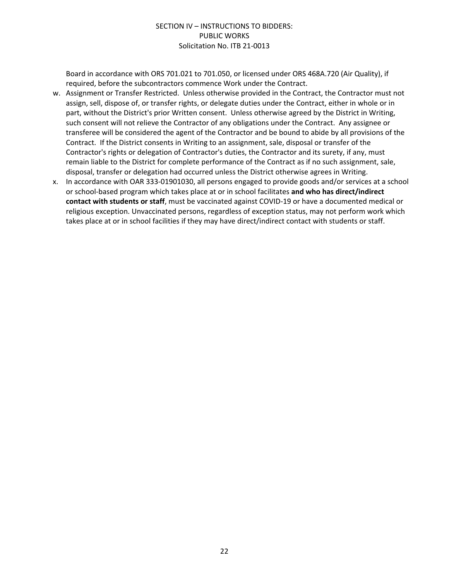Board in accordance with ORS 701.021 to 701.050, or licensed under ORS 468A.720 (Air Quality), if required, before the subcontractors commence Work under the Contract.

- w. Assignment or Transfer Restricted. Unless otherwise provided in the Contract, the Contractor must not assign, sell, dispose of, or transfer rights, or delegate duties under the Contract, either in whole or in part, without the District's prior Written consent. Unless otherwise agreed by the District in Writing, such consent will not relieve the Contractor of any obligations under the Contract. Any assignee or transferee will be considered the agent of the Contractor and be bound to abide by all provisions of the Contract. If the District consents in Writing to an assignment, sale, disposal or transfer of the Contractor's rights or delegation of Contractor's duties, the Contractor and its surety, if any, must remain liable to the District for complete performance of the Contract as if no such assignment, sale, disposal, transfer or delegation had occurred unless the District otherwise agrees in Writing.
- x. In accordance with OAR 333-01901030, all persons engaged to provide goods and/or services at a school or school-based program which takes place at or in school facilitates **and who has direct/indirect contact with students or staff**, must be vaccinated against COVID-19 or have a documented medical or religious exception. Unvaccinated persons, regardless of exception status, may not perform work which takes place at or in school facilities if they may have direct/indirect contact with students or staff.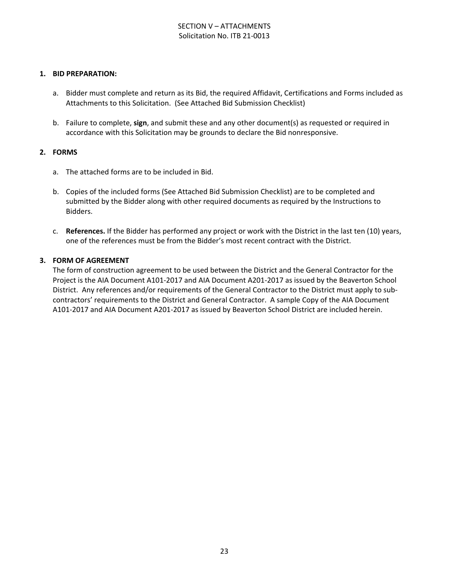# SECTION V – ATTACHMENTS Solicitation No. ITB 21-0013

#### **1. BID PREPARATION:**

- a. Bidder must complete and return as its Bid, the required Affidavit, Certifications and Forms included as Attachments to this Solicitation. (See Attached Bid Submission Checklist)
- b. Failure to complete, **sign**, and submit these and any other document(s) as requested or required in accordance with this Solicitation may be grounds to declare the Bid nonresponsive.

#### **2. FORMS**

- a. The attached forms are to be included in Bid.
- b. Copies of the included forms (See Attached Bid Submission Checklist) are to be completed and submitted by the Bidder along with other required documents as required by the Instructions to Bidders.
- c. **References.** If the Bidder has performed any project or work with the District in the last ten (10) years, one of the references must be from the Bidder's most recent contract with the District.

#### **3. FORM OF AGREEMENT**

The form of construction agreement to be used between the District and the General Contractor for the Project is the AIA Document A101-2017 and AIA Document A201-2017 as issued by the Beaverton School District. Any references and/or requirements of the General Contractor to the District must apply to subcontractors' requirements to the District and General Contractor. A sample Copy of the AIA Document A101-2017 and AIA Document A201-2017 as issued by Beaverton School District are included herein.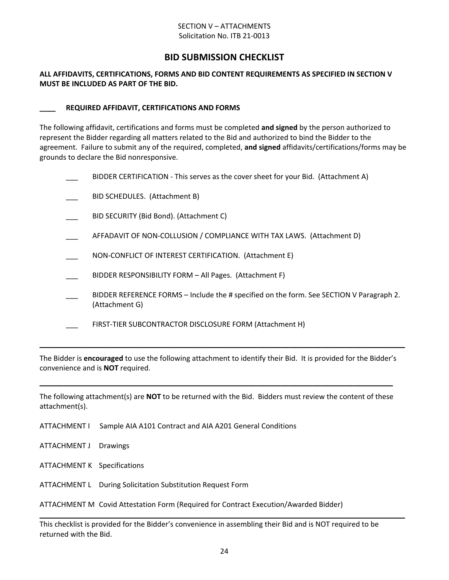#### SECTION V – ATTACHMENTS Solicitation No. ITB 21-0013

# **BID SUBMISSION CHECKLIST**

#### **ALL AFFIDAVITS, CERTIFICATIONS, FORMS AND BID CONTENT REQUIREMENTS AS SPECIFIED IN SECTION V MUST BE INCLUDED AS PART OF THE BID.**

#### **\_\_\_\_ REQUIRED AFFIDAVIT, CERTIFICATIONS AND FORMS**

The following affidavit, certifications and forms must be completed **and signed** by the person authorized to represent the Bidder regarding all matters related to the Bid and authorized to bind the Bidder to the agreement. Failure to submit any of the required, completed, **and signed** affidavits/certifications/forms may be grounds to declare the Bid nonresponsive.

|  | BIDDER CERTIFICATION - This serves as the cover sheet for your Bid. (Attachment A)                         |
|--|------------------------------------------------------------------------------------------------------------|
|  | BID SCHEDULES. (Attachment B)                                                                              |
|  | BID SECURITY (Bid Bond). (Attachment C)                                                                    |
|  | AFFADAVIT OF NON-COLLUSION / COMPLIANCE WITH TAX LAWS. (Attachment D)                                      |
|  | NON-CONFLICT OF INTEREST CERTIFICATION. (Attachment E)                                                     |
|  | BIDDER RESPONSIBILITY FORM - All Pages. (Attachment F)                                                     |
|  | BIDDER REFERENCE FORMS – Include the # specified on the form. See SECTION V Paragraph 2.<br>(Attachment G) |
|  | FIRST-TIER SUBCONTRACTOR DISCLOSURE FORM (Attachment H)                                                    |
|  |                                                                                                            |

The Bidder is **encouraged** to use the following attachment to identify their Bid. It is provided for the Bidder's convenience and is **NOT** required.

The following attachment(s) are **NOT** to be returned with the Bid. Bidders must review the content of these attachment(s).

**\_\_\_\_\_\_\_\_\_\_\_\_\_\_\_\_\_\_\_\_\_\_\_\_\_\_\_\_\_\_\_\_\_\_\_\_\_\_\_\_\_\_\_\_\_\_\_\_\_\_\_\_\_\_\_\_\_\_\_\_\_\_\_\_\_\_\_\_\_\_\_\_\_\_\_\_\_\_\_\_\_\_\_\_\_\_\_\_**

- ATTACHMENT I Sample AIA A101 Contract and AIA A201 General Conditions
- ATTACHMENT J Drawings
- ATTACHMENT K Specifications
- ATTACHMENT L During Solicitation Substitution Request Form

ATTACHMENT M Covid Attestation Form (Required for Contract Execution/Awarded Bidder)

This checklist is provided for the Bidder's convenience in assembling their Bid and is NOT required to be returned with the Bid.

**\_\_\_\_\_\_\_\_\_\_\_\_\_\_\_\_\_\_\_\_\_\_\_\_\_\_\_\_\_\_\_\_\_\_\_\_\_\_\_\_\_\_\_\_\_\_\_\_\_\_\_\_\_\_\_\_\_\_\_\_\_\_\_\_\_\_\_\_\_\_\_\_\_\_\_\_\_\_\_\_\_\_\_\_\_\_\_\_\_\_\_**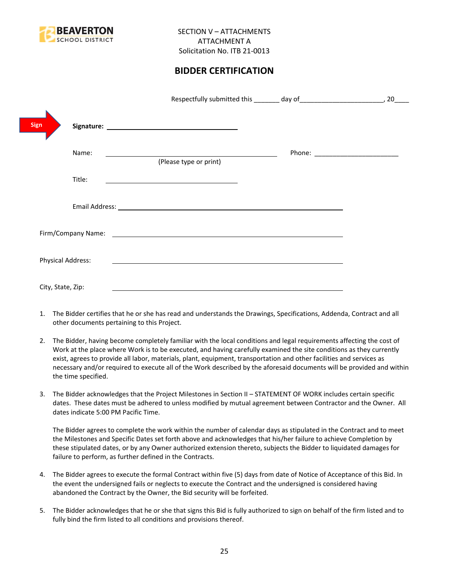

# **BIDDER CERTIFICATION**

|                          |                                                                                                                        | 20                                |
|--------------------------|------------------------------------------------------------------------------------------------------------------------|-----------------------------------|
| Sign                     |                                                                                                                        |                                   |
| Name:                    | (Please type or print)                                                                                                 | Phone: __________________________ |
| Title:                   |                                                                                                                        |                                   |
|                          |                                                                                                                        |                                   |
|                          |                                                                                                                        |                                   |
| <b>Physical Address:</b> | <u> 1989 - Johann Harry Barn, mars and deutscher Stadt and deutscher Stadt and deutscher Stadt and deutscher Stadt</u> |                                   |
| City, State, Zip:        |                                                                                                                        |                                   |

- 1. The Bidder certifies that he or she has read and understands the Drawings, Specifications, Addenda, Contract and all other documents pertaining to this Project.
- 2. The Bidder, having become completely familiar with the local conditions and legal requirements affecting the cost of Work at the place where Work is to be executed, and having carefully examined the site conditions as they currently exist, agrees to provide all labor, materials, plant, equipment, transportation and other facilities and services as necessary and/or required to execute all of the Work described by the aforesaid documents will be provided and within the time specified.
- 3. The Bidder acknowledges that the Project Milestones in Section II STATEMENT OF WORK includes certain specific dates. These dates must be adhered to unless modified by mutual agreement between Contractor and the Owner. All dates indicate 5:00 PM Pacific Time.

The Bidder agrees to complete the work within the number of calendar days as stipulated in the Contract and to meet the Milestones and Specific Dates set forth above and acknowledges that his/her failure to achieve Completion by these stipulated dates, or by any Owner authorized extension thereto, subjects the Bidder to liquidated damages for failure to perform, as further defined in the Contracts.

- 4. The Bidder agrees to execute the formal Contract within five (5) days from date of Notice of Acceptance of this Bid. In the event the undersigned fails or neglects to execute the Contract and the undersigned is considered having abandoned the Contract by the Owner, the Bid security will be forfeited.
- 5. The Bidder acknowledges that he or she that signs this Bid is fully authorized to sign on behalf of the firm listed and to fully bind the firm listed to all conditions and provisions thereof.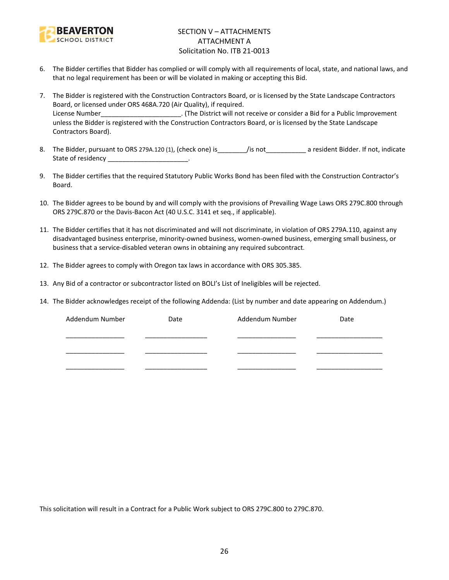

# SECTION V – ATTACHMENTS ATTACHMENT A Solicitation No. ITB 21-0013

- 6. The Bidder certifies that Bidder has complied or will comply with all requirements of local, state, and national laws, and that no legal requirement has been or will be violated in making or accepting this Bid.
- 7. The Bidder is registered with the Construction Contractors Board, or is licensed by the State Landscape Contractors Board, or licensed under ORS 468A.720 (Air Quality), if required. License Number\_\_\_\_\_\_\_\_\_\_\_\_\_\_\_\_\_\_\_\_\_\_. (The District will not receive or consider a Bid for a Public Improvement unless the Bidder is registered with the Construction Contractors Board, or is licensed by the State Landscape Contractors Board).
- 8. The Bidder, pursuant to ORS 279A.120 (1), (check one) is\_\_\_\_\_\_\_\_/is not\_\_\_\_\_\_\_\_\_\_\_ a resident Bidder. If not, indicate State of residency and the state of residency
- 9. The Bidder certifies that the required Statutory Public Works Bond has been filed with the Construction Contractor's Board.
- 10. The Bidder agrees to be bound by and will comply with the provisions of Prevailing Wage Laws ORS 279C.800 through ORS 279C.870 or the Davis-Bacon Act (40 U.S.C. 3141 et seq., if applicable).
- 11. The Bidder certifies that it has not discriminated and will not discriminate, in violation of ORS 279A.110, against any disadvantaged business enterprise, minority-owned business, women-owned business, emerging small business, or business that a service-disabled veteran owns in obtaining any required subcontract.
- 12. The Bidder agrees to comply with Oregon tax laws in accordance with ORS 305.385.
- 13. Any Bid of a contractor or subcontractor listed on BOLI's List of Ineligibles will be rejected.
- 14. The Bidder acknowledges receipt of the following Addenda: (List by number and date appearing on Addendum.)

| Addendum Number | Date | Addendum Number | Date |
|-----------------|------|-----------------|------|
|                 |      |                 |      |
|                 |      |                 |      |
|                 |      |                 |      |

This solicitation will result in a Contract for a Public Work subject to ORS 279C.800 to 279C.870.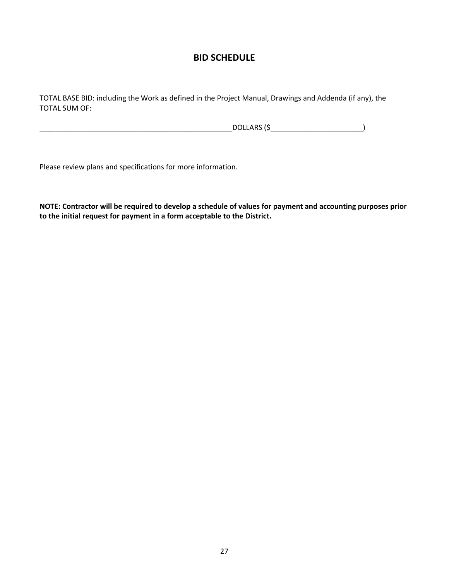# **BID SCHEDULE**

TOTAL BASE BID: including the Work as defined in the Project Manual, Drawings and Addenda (if any), the TOTAL SUM OF:

\_\_\_\_\_\_\_\_\_\_\_\_\_\_\_\_\_\_\_\_\_\_\_\_\_\_\_\_\_\_\_\_\_\_\_\_\_\_\_\_\_\_\_\_\_\_\_\_DOLLARS (\$\_\_\_\_\_\_\_\_\_\_\_\_\_\_\_\_\_\_\_\_\_\_\_)

Please review plans and specifications for more information.

**NOTE: Contractor will be required to develop a schedule of values for payment and accounting purposes prior to the initial request for payment in a form acceptable to the District.**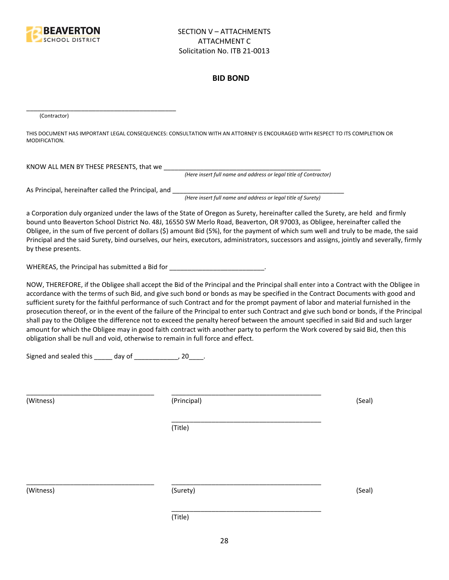

#### **BID BOND**

(Contractor)

THIS DOCUMENT HAS IMPORTANT LEGAL CONSEQUENCES: CONSULTATION WITH AN ATTORNEY IS ENCOURAGED WITH RESPECT TO ITS COMPLETION OR MODIFICATION.

KNOW ALL MEN BY THESE PRESENTS, that we

*(Here insert full name and address or legal title of Contractor)*

As Principal, hereinafter called the Principal, and \_\_\_\_\_\_\_\_\_\_\_\_\_\_\_\_\_\_\_\_\_\_\_\_\_\_\_\_

\_\_\_\_\_\_\_\_\_\_\_\_\_\_\_\_\_\_\_\_\_\_\_\_\_\_\_\_\_\_\_\_\_\_\_\_\_\_\_\_\_

*(Here insert full name and address or legal title of Surety)*

a Corporation duly organized under the laws of the State of Oregon as Surety, hereinafter called the Surety, are held and firmly bound unto Beaverton School District No. 48J, 16550 SW Merlo Road, Beaverton, OR 97003, as Obligee, hereinafter called the Obligee, in the sum of five percent of dollars (\$) amount Bid (5%), for the payment of which sum well and truly to be made, the said Principal and the said Surety, bind ourselves, our heirs, executors, administrators, successors and assigns, jointly and severally, firmly by these presents.

WHEREAS, the Principal has submitted a Bid for \_\_\_\_\_\_\_\_\_\_\_\_\_\_\_\_\_\_\_\_\_\_\_\_\_\_\_\_\_\_\_\_\_

NOW, THEREFORE, if the Obligee shall accept the Bid of the Principal and the Principal shall enter into a Contract with the Obligee in accordance with the terms of such Bid, and give such bond or bonds as may be specified in the Contract Documents with good and sufficient surety for the faithful performance of such Contract and for the prompt payment of labor and material furnished in the prosecution thereof, or in the event of the failure of the Principal to enter such Contract and give such bond or bonds, if the Principal shall pay to the Obligee the difference not to exceed the penalty hereof between the amount specified in said Bid and such larger amount for which the Obligee may in good faith contract with another party to perform the Work covered by said Bid, then this obligation shall be null and void, otherwise to remain in full force and effect.

\_\_\_\_\_\_\_\_\_\_\_\_\_\_\_\_\_\_\_\_\_\_\_\_\_\_\_\_\_\_\_\_\_\_\_\_\_\_\_\_\_

\_\_\_\_\_\_\_\_\_\_\_\_\_\_\_\_\_\_\_\_\_\_\_\_\_\_\_\_\_\_\_\_\_\_\_\_\_\_\_\_\_

Signed and sealed this \_\_\_\_\_ day of \_\_\_\_\_\_\_\_\_\_\_\_, 20\_\_\_\_.

(Witness) (Principal) (Seal)

(Title)

\_\_\_\_\_\_\_\_\_\_\_\_\_\_\_\_\_\_\_\_\_\_\_\_\_\_\_\_\_\_\_\_\_\_\_ \_\_\_\_\_\_\_\_\_\_\_\_\_\_\_\_\_\_\_\_\_\_\_\_\_\_\_\_\_\_\_\_\_\_\_\_\_\_\_\_\_

(Witness) (Surety) (Seal)

\_\_\_\_\_\_\_\_\_\_\_\_\_\_\_\_\_\_\_\_\_\_\_\_\_\_\_\_\_\_\_\_\_\_\_ \_\_\_\_\_\_\_\_\_\_\_\_\_\_\_\_\_\_\_\_\_\_\_\_\_\_\_\_\_\_\_\_\_\_\_\_\_\_\_\_\_

(Title)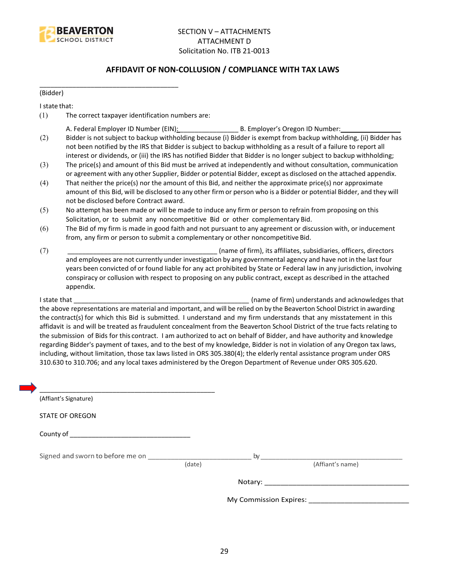

# **AFFIDAVIT OF NON-COLLUSION / COMPLIANCE WITH TAX LAWS**

(Bidder)

I state that:

(1) The correct taxpayer identification numbers are:

\_\_\_\_\_\_\_\_\_\_\_\_\_\_\_\_\_\_\_\_\_\_\_\_\_\_\_\_\_\_\_\_\_\_\_\_\_\_

- A. Federal Employer ID Number (EIN): \_\_\_\_\_\_\_\_\_\_\_\_\_\_\_\_ B. Employer's Oregon ID Number: \_\_\_\_\_\_\_\_\_\_\_\_\_\_\_\_
- (2) Bidder is not subject to backup withholding because (i) Bidder is exempt from backup withholding, (ii) Bidder has not been notified by the IRS that Bidder is subject to backup withholding as a result of a failure to report all interest or dividends, or (iii) the IRS has notified Bidder that Bidder is no longer subject to backup withholding;
- (3) The price(s) and amount of this Bid must be arrived at independently and without consultation, communication or agreement with any other Supplier, Bidder or potential Bidder, except as disclosed on the attached appendix.
- (4) That neither the price(s) nor the amount of this Bid, and neither the approximate price(s) nor approximate amount of this Bid, will be disclosed to any other firm or person who is a Bidder or potential Bidder, and they will not be disclosed before Contract award.
- (5) No attempt has been made or will be made to induce any firm or person to refrain from proposing on this Solicitation, or to submit any noncompetitive Bid or other complementary Bid.
- (6) The Bid of my firm is made in good faith and not pursuant to any agreement or discussion with, or inducement from, any firm or person to submit a complementary or other noncompetitive Bid.
- (7) \_\_\_\_\_\_\_\_\_\_\_\_\_\_\_\_\_\_\_\_\_\_\_\_\_\_\_\_\_\_\_\_\_\_\_\_\_\_\_\_\_ (name of firm), its affiliates, subsidiaries, officers, directors and employees are not currently under investigation by any governmental agency and have not in the last four years been convicted of or found liable for any act prohibited by State or Federal law in any jurisdiction, involving conspiracy or collusion with respect to proposing on any public contract, except as described in the attached appendix.

I state that **I state that**  $\blacksquare$  (name of firm) understands and acknowledges that the above representations are material and important, and will be relied on by the Beaverton School District in awarding the contract(s) for which this Bid is submitted. I understand and my firm understands that any misstatement in this affidavit is and will be treated as fraudulent concealment from the Beaverton School District of the true facts relating to the submission of Bids for this contract. I am authorized to act on behalf of Bidder, and have authority and knowledge regarding Bidder's payment of taxes, and to the best of my knowledge, Bidder is not in violation of any Oregon tax laws, including, without limitation, those tax laws listed in ORS 305.380(4); the elderly rental assistance program under ORS 310.630 to 310.706; and any local taxes administered by the Oregon Department of Revenue under ORS 305.620.

| (Affiant's Signature)            |        |                        |
|----------------------------------|--------|------------------------|
| <b>STATE OF OREGON</b>           |        |                        |
|                                  |        |                        |
| Signed and sworn to before me on |        | by                     |
|                                  | (date) | (Affiant's name)       |
|                                  |        |                        |
|                                  |        | My Commission Expires: |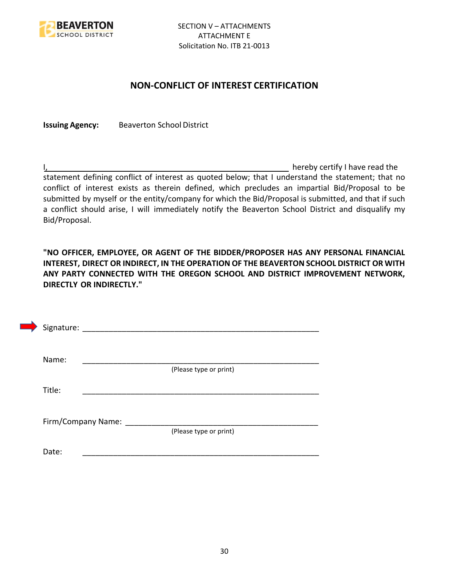

# **NON-CONFLICT OF INTEREST CERTIFICATION**

**Issuing Agency:** Beaverton School District

I, the contract of the contract of the contract of the contract of the hereby certify I have read the statement defining conflict of interest as quoted below; that I understand the statement; that no conflict of interest exists as therein defined, which precludes an impartial Bid/Proposal to be submitted by myself or the entity/company for which the Bid/Proposal is submitted, and that if such a conflict should arise, I will immediately notify the Beaverton School District and disqualify my Bid/Proposal.

**"NO OFFICER, EMPLOYEE, OR AGENT OF THE BIDDER/PROPOSER HAS ANY PERSONAL FINANCIAL INTEREST, DIRECT OR INDIRECT, IN THE OPERATION OF THE BEAVERTON SCHOOL DISTRICT OR WITH ANY PARTY CONNECTED WITH THE OREGON SCHOOL AND DISTRICT IMPROVEMENT NETWORK, DIRECTLY OR INDIRECTLY."**

| Signature: |                    |                        |  |
|------------|--------------------|------------------------|--|
| Name:      |                    |                        |  |
| Title:     |                    | (Please type or print) |  |
|            |                    |                        |  |
|            | Firm/Company Name: | (Please type or print) |  |
| Date:      |                    |                        |  |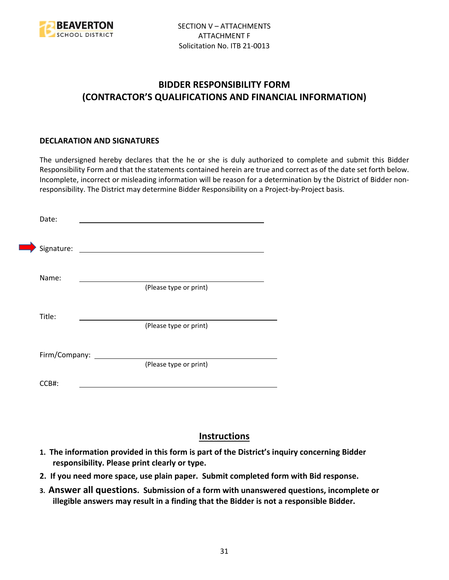

# **BIDDER RESPONSIBILITY FORM (CONTRACTOR'S QUALIFICATIONS AND FINANCIAL INFORMATION)**

# **DECLARATION AND SIGNATURES**

The undersigned hereby declares that the he or she is duly authorized to complete and submit this Bidder Responsibility Form and that the statements contained herein are true and correct as of the date set forth below. Incomplete, incorrect or misleading information will be reason for a determination by the District of Bidder nonresponsibility. The District may determine Bidder Responsibility on a Project-by-Project basis.

| Date:         |                        |
|---------------|------------------------|
| Signature:    |                        |
| Name:         |                        |
|               | (Please type or print) |
| Title:        |                        |
|               | (Please type or print) |
| Firm/Company: |                        |
|               | (Please type or print) |
| CCB#:         |                        |

# **Instructions**

- **1. The information provided in this form is part of the District's inquiry concerning Bidder responsibility. Please print clearly or type.**
- **2. If you need more space, use plain paper. Submit completed form with Bid response.**
- **3. Answer all questions. Submission of a form with unanswered questions, incomplete or illegible answers may result in a finding that the Bidder is not a responsible Bidder.**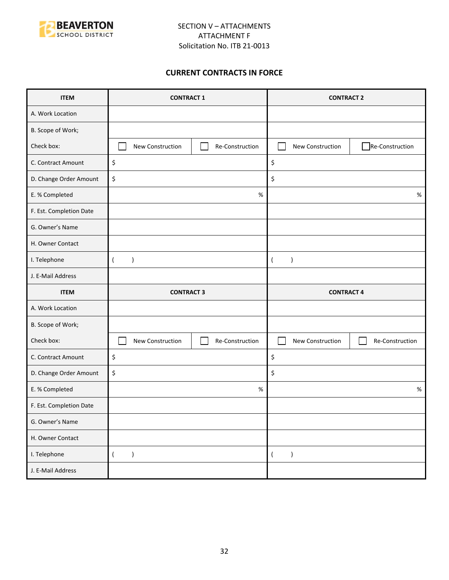

# **CURRENT CONTRACTS IN FORCE**

| <b>ITEM</b>             | <b>CONTRACT 1</b>                   | <b>CONTRACT 2</b>                   |  |
|-------------------------|-------------------------------------|-------------------------------------|--|
| A. Work Location        |                                     |                                     |  |
| B. Scope of Work;       |                                     |                                     |  |
| Check box:              | New Construction<br>Re-Construction | Re-Construction<br>New Construction |  |
| C. Contract Amount      | \$                                  | \$                                  |  |
| D. Change Order Amount  | \$                                  | \$                                  |  |
| E. % Completed          | $\%$                                | $\%$                                |  |
| F. Est. Completion Date |                                     |                                     |  |
| G. Owner's Name         |                                     |                                     |  |
| H. Owner Contact        |                                     |                                     |  |
| I. Telephone            | $\overline{(}$<br>$\mathcal{E}$     | $\lambda$<br>$\overline{ }$         |  |
| J. E-Mail Address       |                                     |                                     |  |
|                         |                                     |                                     |  |
| <b>ITEM</b>             | <b>CONTRACT 3</b>                   | <b>CONTRACT 4</b>                   |  |
| A. Work Location        |                                     |                                     |  |
| B. Scope of Work;       |                                     |                                     |  |
| Check box:              | New Construction<br>Re-Construction | New Construction<br>Re-Construction |  |
| C. Contract Amount      | \$                                  | \$                                  |  |
| D. Change Order Amount  | \$                                  | \$                                  |  |
| E. % Completed          | %                                   | $\%$                                |  |
| F. Est. Completion Date |                                     |                                     |  |
| G. Owner's Name         |                                     |                                     |  |
| H. Owner Contact        |                                     |                                     |  |
| I. Telephone            | $\overline{(\ }$<br>$\lambda$       | $\lambda$<br>$\left($               |  |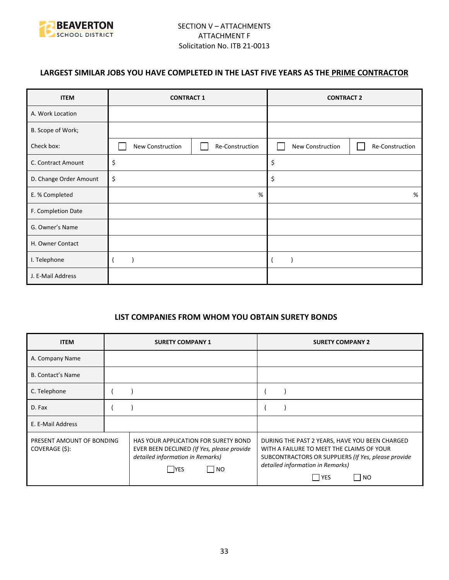

# **LARGEST SIMILAR JOBS YOU HAVE COMPLETED IN THE LAST FIVE YEARS AS THE PRIME CONTRACTOR**

| <b>ITEM</b>            | <b>CONTRACT 1</b> |                 | <b>CONTRACT 2</b> |                 |
|------------------------|-------------------|-----------------|-------------------|-----------------|
| A. Work Location       |                   |                 |                   |                 |
| B. Scope of Work;      |                   |                 |                   |                 |
| Check box:             | New Construction  | Re-Construction | New Construction  | Re-Construction |
| C. Contract Amount     | \$                |                 | \$                |                 |
| D. Change Order Amount | \$                |                 | \$                |                 |
| E. % Completed         |                   | %               |                   | %               |
| F. Completion Date     |                   |                 |                   |                 |
| G. Owner's Name        |                   |                 |                   |                 |
| H. Owner Contact       |                   |                 |                   |                 |
| I. Telephone           |                   |                 |                   |                 |
| J. E-Mail Address      |                   |                 |                   |                 |

# **LIST COMPANIES FROM WHOM YOU OBTAIN SURETY BONDS**

| <b>ITEM</b>                                 | <b>SURETY COMPANY 1</b>                                                                                                               | <b>SURETY COMPANY 2</b>                                                                                                                                                                                 |  |
|---------------------------------------------|---------------------------------------------------------------------------------------------------------------------------------------|---------------------------------------------------------------------------------------------------------------------------------------------------------------------------------------------------------|--|
| A. Company Name                             |                                                                                                                                       |                                                                                                                                                                                                         |  |
| <b>B. Contact's Name</b>                    |                                                                                                                                       |                                                                                                                                                                                                         |  |
| C. Telephone                                |                                                                                                                                       |                                                                                                                                                                                                         |  |
| D. Fax                                      |                                                                                                                                       |                                                                                                                                                                                                         |  |
| E. E-Mail Address                           |                                                                                                                                       |                                                                                                                                                                                                         |  |
| PRESENT AMOUNT OF BONDING<br>COVERAGE (\$): | HAS YOUR APPLICATION FOR SURETY BOND<br>EVER BEEN DECLINED (If Yes, please provide<br>detailed information in Remarks)<br> NO<br> YES | DURING THE PAST 2 YEARS, HAVE YOU BEEN CHARGED<br>WITH A FAILURE TO MEET THE CLAIMS OF YOUR<br>SUBCONTRACTORS OR SUPPLIERS (If Yes, please provide<br>detailed information in Remarks)<br>  YES<br>  NO |  |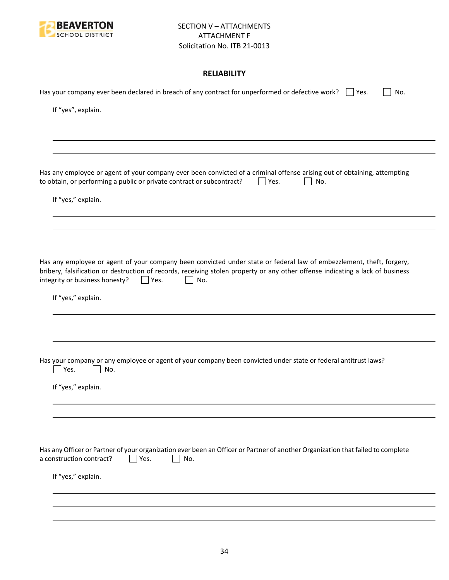

# **RELIABILITY**

| Has your company ever been declared in breach of any contract for unperformed or defective work? $\Box$ Yes.<br>No.                                                                                                                                                                                           |
|---------------------------------------------------------------------------------------------------------------------------------------------------------------------------------------------------------------------------------------------------------------------------------------------------------------|
| If "yes", explain.                                                                                                                                                                                                                                                                                            |
|                                                                                                                                                                                                                                                                                                               |
|                                                                                                                                                                                                                                                                                                               |
| Has any employee or agent of your company ever been convicted of a criminal offense arising out of obtaining, attempting<br>to obtain, or performing a public or private contract or subcontract?<br>Yes.<br>No.                                                                                              |
| If "yes," explain.                                                                                                                                                                                                                                                                                            |
|                                                                                                                                                                                                                                                                                                               |
|                                                                                                                                                                                                                                                                                                               |
| Has any employee or agent of your company been convicted under state or federal law of embezzlement, theft, forgery,<br>bribery, falsification or destruction of records, receiving stolen property or any other offense indicating a lack of business<br>integrity or business honesty?<br>$ $   Yes.<br>No. |
| If "yes," explain.                                                                                                                                                                                                                                                                                            |
|                                                                                                                                                                                                                                                                                                               |
|                                                                                                                                                                                                                                                                                                               |
| Has your company or any employee or agent of your company been convicted under state or federal antitrust laws?<br>Yes.<br>No.                                                                                                                                                                                |
| If "yes," explain.                                                                                                                                                                                                                                                                                            |
|                                                                                                                                                                                                                                                                                                               |
|                                                                                                                                                                                                                                                                                                               |
| Has any Officer or Partner of your organization ever been an Officer or Partner of another Organization that failed to complete<br>a construction contract?<br>Yes.<br>No.                                                                                                                                    |
| If "yes," explain.                                                                                                                                                                                                                                                                                            |
|                                                                                                                                                                                                                                                                                                               |
|                                                                                                                                                                                                                                                                                                               |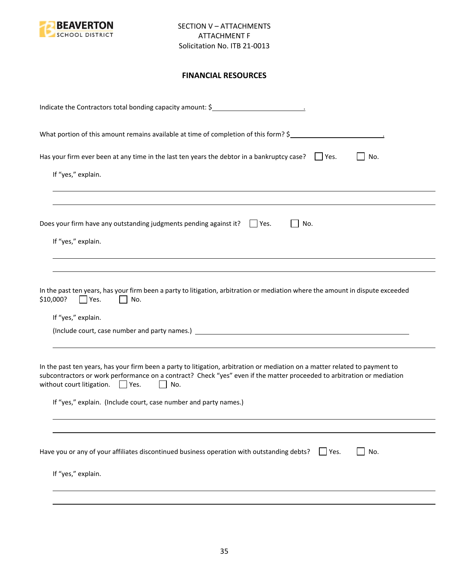

# **FINANCIAL RESOURCES**

| Indicate the Contractors total bonding capacity amount: \$                                                                                                                                                                                                                                                                                                                                |
|-------------------------------------------------------------------------------------------------------------------------------------------------------------------------------------------------------------------------------------------------------------------------------------------------------------------------------------------------------------------------------------------|
| What portion of this amount remains available at time of completion of this form? \$                                                                                                                                                                                                                                                                                                      |
| Has your firm ever been at any time in the last ten years the debtor in a bankruptcy case? $\Box$ Yes.<br>No.<br>If "yes," explain.                                                                                                                                                                                                                                                       |
| Does your firm have any outstanding judgments pending against it? $\Box$ Yes.<br>No.<br>If "yes," explain.                                                                                                                                                                                                                                                                                |
| In the past ten years, has your firm been a party to litigation, arbitration or mediation where the amount in dispute exceeded<br>\$10,000?<br>Yes.<br>No.<br>If "yes," explain.                                                                                                                                                                                                          |
| In the past ten years, has your firm been a party to litigation, arbitration or mediation on a matter related to payment to<br>subcontractors or work performance on a contract? Check "yes" even if the matter proceeded to arbitration or mediation<br>without court litigation. $\Box$ Yes.<br>$\mathbf{L}$<br>No.<br>If "yes," explain. (Include court, case number and party names.) |
| Have you or any of your affiliates discontinued business operation with outstanding debts?<br>No.<br>$ $ Yes.<br>If "yes," explain.                                                                                                                                                                                                                                                       |
|                                                                                                                                                                                                                                                                                                                                                                                           |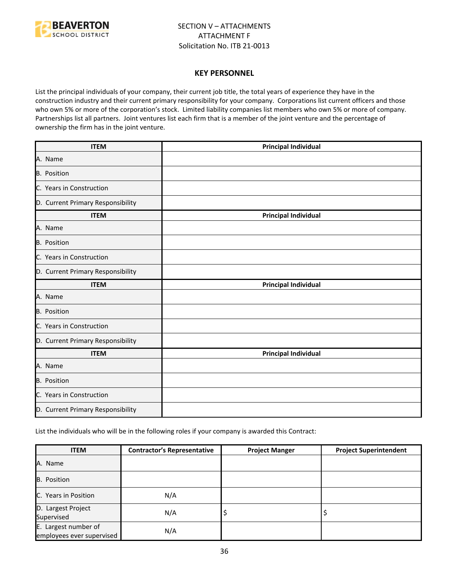

#### **KEY PERSONNEL**

List the principal individuals of your company, their current job title, the total years of experience they have in the construction industry and their current primary responsibility for your company. Corporations list current officers and those who own 5% or more of the corporation's stock. Limited liability companies list members who own 5% or more of company. Partnerships list all partners. Joint ventures list each firm that is a member of the joint venture and the percentage of ownership the firm has in the joint venture.

| <b>ITEM</b>                       | <b>Principal Individual</b> |
|-----------------------------------|-----------------------------|
| A. Name                           |                             |
| B. Position                       |                             |
| C. Years in Construction          |                             |
| D. Current Primary Responsibility |                             |
| <b>ITEM</b>                       | <b>Principal Individual</b> |
| A. Name                           |                             |
| <b>B.</b> Position                |                             |
| C. Years in Construction          |                             |
| D. Current Primary Responsibility |                             |
| <b>ITEM</b>                       | <b>Principal Individual</b> |
| A. Name                           |                             |
| <b>B.</b> Position                |                             |
| C. Years in Construction          |                             |
| D. Current Primary Responsibility |                             |
| <b>ITEM</b>                       | <b>Principal Individual</b> |
| A. Name                           |                             |
| B. Position                       |                             |
| C. Years in Construction          |                             |
| D. Current Primary Responsibility |                             |

List the individuals who will be in the following roles if your company is awarded this Contract:

| <b>ITEM</b>                                       | <b>Contractor's Representative</b> | <b>Project Manger</b> | <b>Project Superintendent</b> |
|---------------------------------------------------|------------------------------------|-----------------------|-------------------------------|
| A. Name                                           |                                    |                       |                               |
| B. Position                                       |                                    |                       |                               |
| C. Years in Position                              | N/A                                |                       |                               |
| D. Largest Project<br>Supervised                  | N/A                                | ∍                     |                               |
| E. Largest number of<br>employees ever supervised | N/A                                |                       |                               |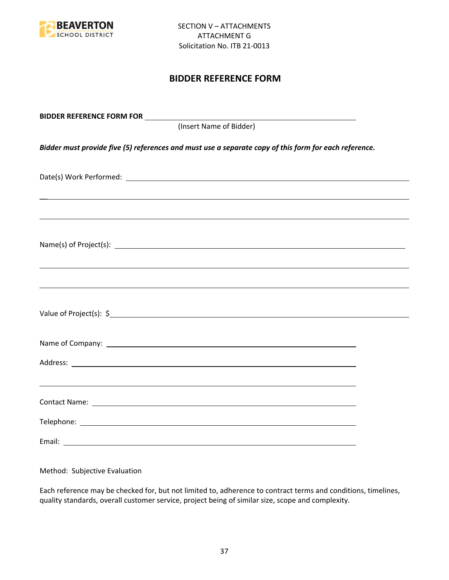

# **BIDDER REFERENCE FORM**

| (Insert Name of Bidder)                                                                               |  |
|-------------------------------------------------------------------------------------------------------|--|
| Bidder must provide five (5) references and must use a separate copy of this form for each reference. |  |
|                                                                                                       |  |
| ,我们也不会有什么。""我们的人,我们也不会有什么?""我们的人,我们也不会有什么?""我们的人,我们也不会有什么?""我们的人,我们也不会有什么?""我们的人                      |  |
|                                                                                                       |  |
| ,我们也不能会有一个人的事情。""我们的人,我们也不能会有一个人的人,我们也不能会有一个人的人,我们也不能会有一个人的人,我们也不能会有一个人的人,我们也不能会                      |  |
|                                                                                                       |  |
|                                                                                                       |  |
|                                                                                                       |  |
|                                                                                                       |  |
|                                                                                                       |  |
|                                                                                                       |  |

Method: Subjective Evaluation

Each reference may be checked for, but not limited to, adherence to contract terms and conditions, timelines, quality standards, overall customer service, project being of similar size, scope and complexity.